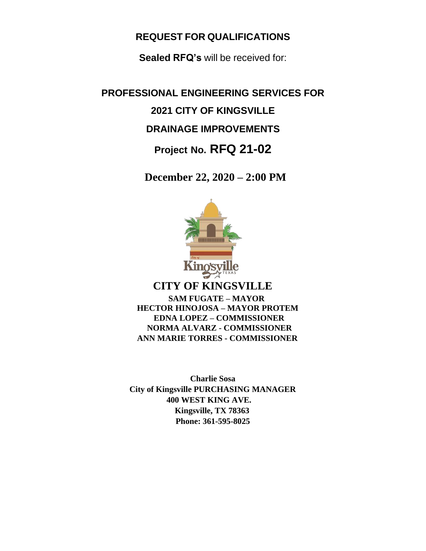# **REQUEST FOR QUALIFICATIONS**

**Sealed RFQ's** will be received for:

**PROFESSIONAL ENGINEERING SERVICES FOR 2021 CITY OF KINGSVILLE DRAINAGE IMPROVEMENTS Project No. RFQ 21-02**

 **December 22, 2020 – 2:00 PM**

**Kin CITY OF KINGSVILLE SAM FUGATE – MAYOR HECTOR HINOJOSA – MAYOR PROTEM EDNA LOPEZ – COMMISSIONER NORMA ALVARZ - COMMISSIONER ANN MARIE TORRES - COMMISSIONER**

**Charlie Sosa City of Kingsville PURCHASING MANAGER 400 WEST KING AVE. Kingsville, TX 78363 Phone: 361-595-8025**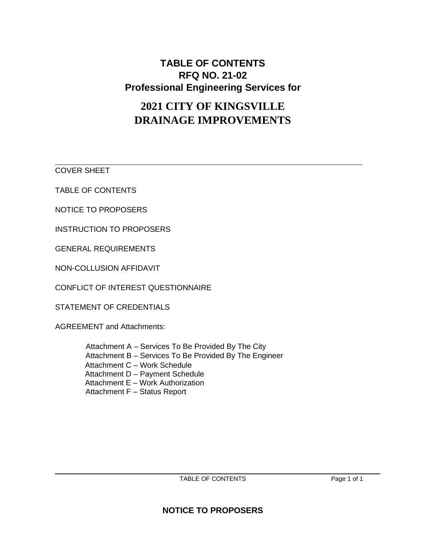# **TABLE OF CONTENTS RFQ NO. 21-02 Professional Engineering Services for**

# **2021 CITY OF KINGSVILLE DRAINAGE IMPROVEMENTS**

COVER SHEET

TABLE OF CONTENTS

NOTICE TO PROPOSERS

INSTRUCTION TO PROPOSERS

GENERAL REQUIREMENTS

NON-COLLUSION AFFIDAVIT

CONFLICT OF INTEREST QUESTIONNAIRE

STATEMENT OF CREDENTIALS

AGREEMENT and Attachments:

Attachment A – Services To Be Provided By The City Attachment B – Services To Be Provided By The Engineer Attachment C – Work Schedule Attachment D – Payment Schedule Attachment E – Work Authorization Attachment F – Status Report

 $\_$  , and the set of the set of the set of the set of the set of the set of the set of the set of the set of the set of the set of the set of the set of the set of the set of the set of the set of the set of the set of th TABLE OF CONTENTS Page 1 of 1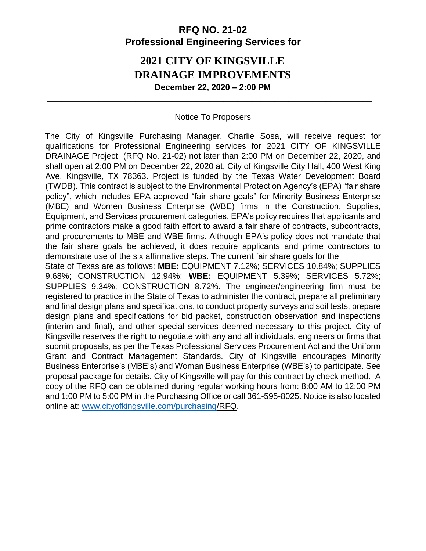# **RFQ NO. 21-02 Professional Engineering Services for**

# **2021 CITY OF KINGSVILLE DRAINAGE IMPROVEMENTS December 22, 2020 – 2:00 PM**

### Notice To Proposers

\_\_\_\_\_\_\_\_\_\_\_\_\_\_\_\_\_\_\_\_\_\_\_\_\_\_\_\_\_\_\_\_\_\_\_\_\_\_\_\_\_\_\_\_\_\_\_\_\_\_\_\_\_\_\_\_\_\_\_\_\_\_\_\_\_\_\_\_\_\_

The City of Kingsville Purchasing Manager, Charlie Sosa, will receive request for qualifications for Professional Engineering services for 2021 CITY OF KINGSVILLE DRAINAGE Project (RFQ No. 21-02) not later than 2:00 PM on December 22, 2020, and shall open at 2:00 PM on December 22, 2020 at, City of Kingsville City Hall, 400 West King Ave. Kingsville, TX 78363. Project is funded by the Texas Water Development Board (TWDB). This contract is subject to the Environmental Protection Agency's (EPA) "fair share policy", which includes EPA-approved "fair share goals" for Minority Business Enterprise (MBE) and Women Business Enterprise (WBE) firms in the Construction, Supplies, Equipment, and Services procurement categories. EPA's policy requires that applicants and prime contractors make a good faith effort to award a fair share of contracts, subcontracts, and procurements to MBE and WBE firms. Although EPA's policy does not mandate that the fair share goals be achieved, it does require applicants and prime contractors to demonstrate use of the six affirmative steps. The current fair share goals for the State of Texas are as follows: **MBE:** EQUIPMENT 7.12%; SERVICES 10.84%; SUPPLIES 9.68%; CONSTRUCTION 12.94%; **WBE:** EQUIPMENT 5.39%; SERVICES 5.72%; SUPPLIES 9.34%; CONSTRUCTION 8.72%. The engineer/engineering firm must be registered to practice in the State of Texas to administer the contract, prepare all preliminary and final design plans and specifications, to conduct property surveys and soil tests, prepare design plans and specifications for bid packet, construction observation and inspections (interim and final), and other special services deemed necessary to this project. City of Kingsville reserves the right to negotiate with any and all individuals, engineers or firms that submit proposals, as per the Texas Professional Services Procurement Act and the Uniform Grant and Contract Management Standards. City of Kingsville encourages Minority Business Enterprise's (MBE's) and Woman Business Enterprise (WBE's) to participate. See proposal package for details. City of Kingsville will pay for this contract by check method. A copy of the RFQ can be obtained during regular working hours from: 8:00 AM to 12:00 PM and 1:00 PM to 5:00 PM in the Purchasing Office or call 361-595-8025. Notice is also located online at: [www.cityofkingsville.com/purchasing/](http://www.cityofkingsville.com/purchasing)RF[Q.](http://www.co.nueces.tx.us/)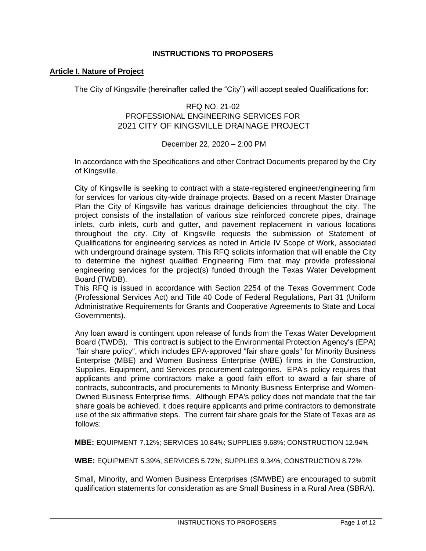#### **INSTRUCTIONS TO PROPOSERS**

#### **Article I. Nature of Project**

The City of Kingsville (hereinafter called the "City") will accept sealed Qualifications for:

#### RFQ NO. 21-02 PROFESSIONAL ENGINEERING SERVICES FOR 2021 CITY OF KINGSVILLE DRAINAGE PROJECT

#### December 22, 2020 – 2:00 PM

In accordance with the Specifications and other Contract Documents prepared by the City of Kingsville.

City of Kingsville is seeking to contract with a state-registered engineer/engineering firm for services for various city-wide drainage projects. Based on a recent Master Drainage Plan the City of Kingsville has various drainage deficiencies throughout the city. The project consists of the installation of various size reinforced concrete pipes, drainage inlets, curb inlets, curb and gutter, and pavement replacement in various locations throughout the city. City of Kingsville requests the submission of Statement of Qualifications for engineering services as noted in Article IV Scope of Work, associated with underground drainage system. This RFQ solicits information that will enable the City to determine the highest qualified Engineering Firm that may provide professional engineering services for the project(s) funded through the Texas Water Development Board (TWDB).

This RFQ is issued in accordance with Section 2254 of the Texas Government Code (Professional Services Act) and Title 40 Code of Federal Regulations, Part 31 (Uniform Administrative Requirements for Grants and Cooperative Agreements to State and Local Governments).

Any loan award is contingent upon release of funds from the Texas Water Development Board (TWDB). This contract is subject to the Environmental Protection Agency's (EPA) "fair share policy", which includes EPA-approved "fair share goals" for Minority Business Enterprise (MBE) and Women Business Enterprise (WBE) firms in the Construction, Supplies, Equipment, and Services procurement categories. EPA's policy requires that applicants and prime contractors make a good faith effort to award a fair share of contracts, subcontracts, and procurements to Minority Business Enterprise and Women-Owned Business Enterprise firms. Although EPA's policy does not mandate that the fair share goals be achieved, it does require applicants and prime contractors to demonstrate use of the six affirmative steps. The current fair share goals for the State of Texas are as follows:

**MBE:** EQUIPMENT 7.12%; SERVICES 10.84%; SUPPLIES 9.68%; CONSTRUCTION 12.94%

**WBE:** EQUIPMENT 5.39%; SERVICES 5.72%; SUPPLIES 9.34%; CONSTRUCTION 8.72%

Small, Minority, and Women Business Enterprises (SMWBE) are encouraged to submit qualification statements for consideration as are Small Business in a Rural Area (SBRA).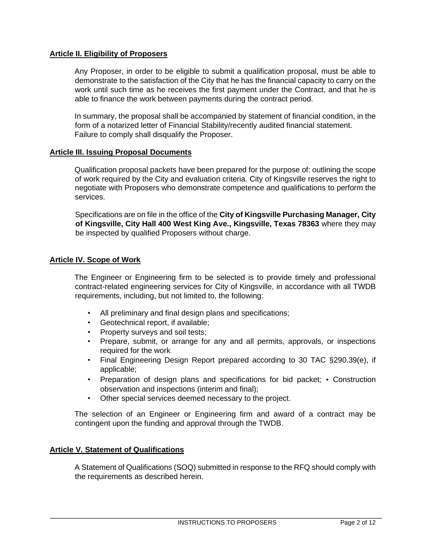#### **Article II. Eligibility of Proposers**

Any Proposer, in order to be eligible to submit a qualification proposal, must be able to demonstrate to the satisfaction of the City that he has the financial capacity to carry on the work until such time as he receives the first payment under the Contract, and that he is able to finance the work between payments during the contract period.

In summary, the proposal shall be accompanied by statement of financial condition, in the form of a notarized letter of Financial Stability/recently audited financial statement. Failure to comply shall disqualify the Proposer.

#### **Article III. Issuing Proposal Documents**

Qualification proposal packets have been prepared for the purpose of: outlining the scope of work required by the City and evaluation criteria. City of Kingsville reserves the right to negotiate with Proposers who demonstrate competence and qualifications to perform the services.

Specifications are on file in the office of the **City of Kingsville Purchasing Manager, City of Kingsville, City Hall 400 West King Ave., Kingsville, Texas 78363** where they may be inspected by qualified Proposers without charge.

#### **Article IV. Scope of Work**

The Engineer or Engineering firm to be selected is to provide timely and professional contract-related engineering services for City of Kingsville, in accordance with all TWDB requirements, including, but not limited to, the following:

- All preliminary and final design plans and specifications;
- Geotechnical report, if available;
- Property surveys and soil tests;
- Prepare, submit, or arrange for any and all permits, approvals, or inspections required for the work
- Final Engineering Design Report prepared according to 30 TAC §290.39(e), if applicable;
- Preparation of design plans and specifications for bid packet; Construction observation and inspections (interim and final);
- Other special services deemed necessary to the project.

The selection of an Engineer or Engineering firm and award of a contract may be contingent upon the funding and approval through the TWDB.

#### **Article V. Statement of Qualifications**

A Statement of Qualifications (SOQ) submitted in response to the RFQ should comply with the requirements as described herein.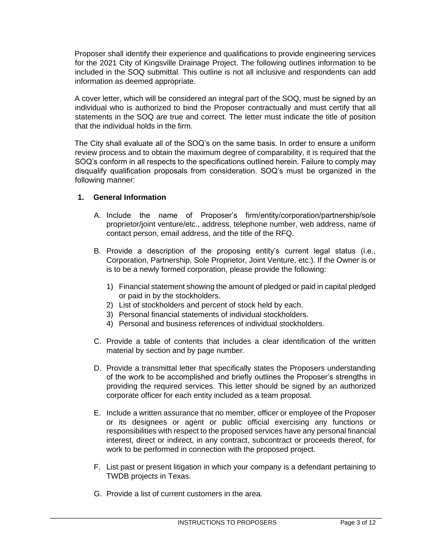Proposer shall identify their experience and qualifications to provide engineering services for the 2021 City of Kingsville Drainage Project. The following outlines information to be included in the SOQ submittal. This outline is not all inclusive and respondents can add information as deemed appropriate.

A cover letter, which will be considered an integral part of the SOQ, must be signed by an individual who is authorized to bind the Proposer contractually and must certify that all statements in the SOQ are true and correct. The letter must indicate the title of position that the individual holds in the firm.

The City shall evaluate all of the SOQ's on the same basis. In order to ensure a uniform review process and to obtain the maximum degree of comparability, it is required that the SOQ's conform in all respects to the specifications outlined herein. Failure to comply may disqualify qualification proposals from consideration. SOQ's must be organized in the following manner:

### **1. General Information**

- A. Include the name of Proposer's firm/entity/corporation/partnership/sole proprietor/joint venture/etc., address, telephone number, web address, name of contact person, email address, and the title of the RFQ.
- B. Provide a description of the proposing entity's current legal status (i.e., Corporation, Partnership, Sole Proprietor, Joint Venture, etc.). If the Owner is or is to be a newly formed corporation, please provide the following:
	- 1) Financial statement showing the amount of pledged or paid in capital pledged or paid in by the stockholders.
	- 2) List of stockholders and percent of stock held by each.
	- 3) Personal financial statements of individual stockholders.
	- 4) Personal and business references of individual stockholders.
- C. Provide a table of contents that includes a clear identification of the written material by section and by page number.
- D. Provide a transmittal letter that specifically states the Proposers understanding of the work to be accomplished and briefly outlines the Proposer's strengths in providing the required services. This letter should be signed by an authorized corporate officer for each entity included as a team proposal.
- E. Include a written assurance that no member, officer or employee of the Proposer or its designees or agent or public official exercising any functions or responsibilities with respect to the proposed services have any personal financial interest, direct or indirect, in any contract, subcontract or proceeds thereof, for work to be performed in connection with the proposed project.
- F. List past or present litigation in which your company is a defendant pertaining to TWDB projects in Texas.
- G. Provide a list of current customers in the area.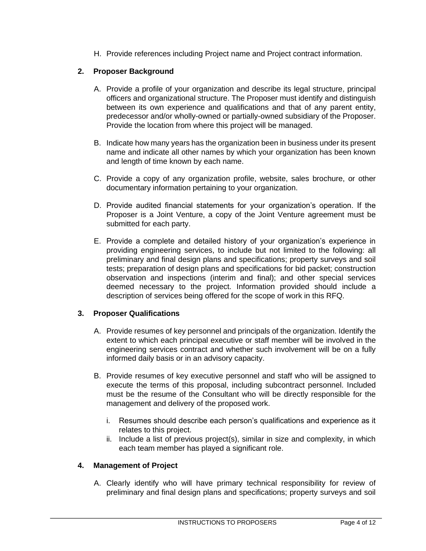H. Provide references including Project name and Project contract information.

## **2. Proposer Background**

- A. Provide a profile of your organization and describe its legal structure, principal officers and organizational structure. The Proposer must identify and distinguish between its own experience and qualifications and that of any parent entity, predecessor and/or wholly-owned or partially-owned subsidiary of the Proposer. Provide the location from where this project will be managed.
- B. Indicate how many years has the organization been in business under its present name and indicate all other names by which your organization has been known and length of time known by each name.
- C. Provide a copy of any organization profile, website, sales brochure, or other documentary information pertaining to your organization.
- D. Provide audited financial statements for your organization's operation. If the Proposer is a Joint Venture, a copy of the Joint Venture agreement must be submitted for each party.
- E. Provide a complete and detailed history of your organization's experience in providing engineering services, to include but not limited to the following: all preliminary and final design plans and specifications; property surveys and soil tests; preparation of design plans and specifications for bid packet; construction observation and inspections (interim and final); and other special services deemed necessary to the project. Information provided should include a description of services being offered for the scope of work in this RFQ.

## **3. Proposer Qualifications**

- A. Provide resumes of key personnel and principals of the organization. Identify the extent to which each principal executive or staff member will be involved in the engineering services contract and whether such involvement will be on a fully informed daily basis or in an advisory capacity.
- B. Provide resumes of key executive personnel and staff who will be assigned to execute the terms of this proposal, including subcontract personnel. Included must be the resume of the Consultant who will be directly responsible for the management and delivery of the proposed work.
	- i. Resumes should describe each person's qualifications and experience as it relates to this project.
	- ii. Include a list of previous project(s), similar in size and complexity, in which each team member has played a significant role.

### **4. Management of Project**

A. Clearly identify who will have primary technical responsibility for review of preliminary and final design plans and specifications; property surveys and soil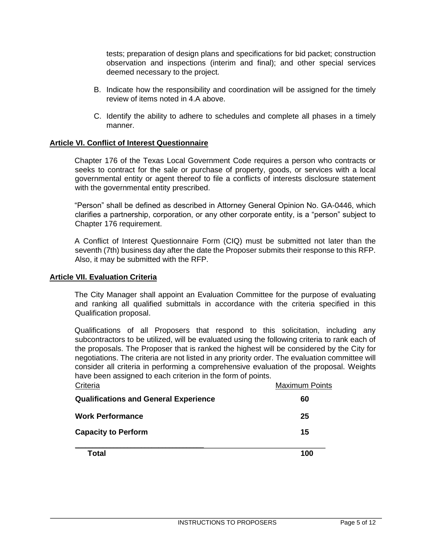tests; preparation of design plans and specifications for bid packet; construction observation and inspections (interim and final); and other special services deemed necessary to the project.

- B. Indicate how the responsibility and coordination will be assigned for the timely review of items noted in 4.A above.
- C. Identify the ability to adhere to schedules and complete all phases in a timely manner.

#### **Article VI. Conflict of Interest Questionnaire**

Chapter 176 of the Texas Local Government Code requires a person who contracts or seeks to contract for the sale or purchase of property, goods, or services with a local governmental entity or agent thereof to file a conflicts of interests disclosure statement with the governmental entity prescribed.

"Person" shall be defined as described in Attorney General Opinion No. GA-0446, which clarifies a partnership, corporation, or any other corporate entity, is a "person" subject to Chapter 176 requirement.

A Conflict of Interest Questionnaire Form (CIQ) must be submitted not later than the seventh (7th) business day after the date the Proposer submits their response to this RFP. Also, it may be submitted with the RFP.

#### **Article VII. Evaluation Criteria**

The City Manager shall appoint an Evaluation Committee for the purpose of evaluating and ranking all qualified submittals in accordance with the criteria specified in this Qualification proposal.

Qualifications of all Proposers that respond to this solicitation, including any subcontractors to be utilized, will be evaluated using the following criteria to rank each of the proposals. The Proposer that is ranked the highest will be considered by the City for negotiations. The criteria are not listed in any priority order. The evaluation committee will consider all criteria in performing a comprehensive evaluation of the proposal. Weights have been assigned to each criterion in the form of points.

| Criteria                                     | <b>Maximum Points</b> |
|----------------------------------------------|-----------------------|
| <b>Qualifications and General Experience</b> | 60                    |
| <b>Work Performance</b>                      | 25                    |
| <b>Capacity to Perform</b>                   | 15                    |
| Total                                        | 100                   |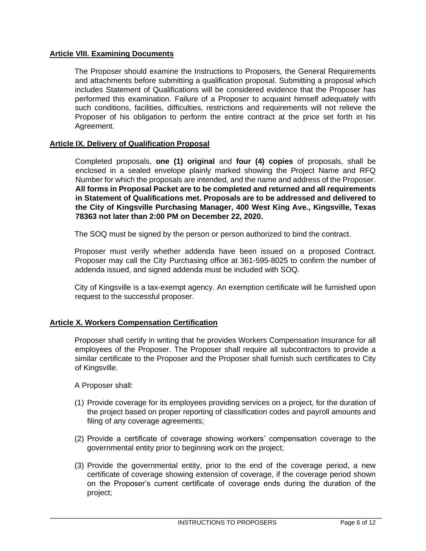#### **Article VIII. Examining Documents**

The Proposer should examine the Instructions to Proposers, the General Requirements and attachments before submitting a qualification proposal. Submitting a proposal which includes Statement of Qualifications will be considered evidence that the Proposer has performed this examination. Failure of a Proposer to acquaint himself adequately with such conditions, facilities, difficulties, restrictions and requirements will not relieve the Proposer of his obligation to perform the entire contract at the price set forth in his Agreement.

#### **Article IX. Delivery of Qualification Proposal**

Completed proposals, **one (1) original** and **four (4) copies** of proposals, shall be enclosed in a sealed envelope plainly marked showing the Project Name and RFQ Number for which the proposals are intended, and the name and address of the Proposer. **All forms in Proposal Packet are to be completed and returned and all requirements in Statement of Qualifications met. Proposals are to be addressed and delivered to the City of Kingsville Purchasing Manager, 400 West King Ave., Kingsville, Texas 78363 not later than 2:00 PM on December 22, 2020.**

The SOQ must be signed by the person or person authorized to bind the contract.

Proposer must verify whether addenda have been issued on a proposed Contract. Proposer may call the City Purchasing office at 361-595-8025 to confirm the number of addenda issued, and signed addenda must be included with SOQ.

City of Kingsville is a tax-exempt agency. An exemption certificate will be furnished upon request to the successful proposer.

#### **Article X. Workers Compensation Certification**

Proposer shall certify in writing that he provides Workers Compensation Insurance for all employees of the Proposer. The Proposer shall require all subcontractors to provide a similar certificate to the Proposer and the Proposer shall furnish such certificates to City of Kingsville.

A Proposer shall:

- (1) Provide coverage for its employees providing services on a project, for the duration of the project based on proper reporting of classification codes and payroll amounts and filing of any coverage agreements;
- (2) Provide a certificate of coverage showing workers' compensation coverage to the governmental entity prior to beginning work on the project;
- (3) Provide the governmental entity, prior to the end of the coverage period, a new certificate of coverage showing extension of coverage, if the coverage period shown on the Proposer's current certificate of coverage ends during the duration of the project;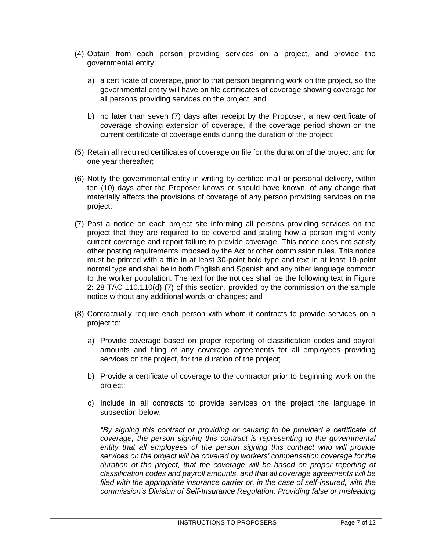- (4) Obtain from each person providing services on a project, and provide the governmental entity:
	- a) a certificate of coverage, prior to that person beginning work on the project, so the governmental entity will have on file certificates of coverage showing coverage for all persons providing services on the project; and
	- b) no later than seven (7) days after receipt by the Proposer, a new certificate of coverage showing extension of coverage, if the coverage period shown on the current certificate of coverage ends during the duration of the project;
- (5) Retain all required certificates of coverage on file for the duration of the project and for one year thereafter;
- (6) Notify the governmental entity in writing by certified mail or personal delivery, within ten (10) days after the Proposer knows or should have known, of any change that materially affects the provisions of coverage of any person providing services on the project;
- (7) Post a notice on each project site informing all persons providing services on the project that they are required to be covered and stating how a person might verify current coverage and report failure to provide coverage. This notice does not satisfy other posting requirements imposed by the Act or other commission rules. This notice must be printed with a title in at least 30-point bold type and text in at least 19-point normal type and shall be in both English and Spanish and any other language common to the worker population. The text for the notices shall be the following text in Figure 2: 28 TAC 110.110(d) (7) of this section, provided by the commission on the sample notice without any additional words or changes; and
- (8) Contractually require each person with whom it contracts to provide services on a project to:
	- a) Provide coverage based on proper reporting of classification codes and payroll amounts and filing of any coverage agreements for all employees providing services on the project, for the duration of the project;
	- b) Provide a certificate of coverage to the contractor prior to beginning work on the project;
	- c) Include in all contracts to provide services on the project the language in subsection below;

*"By signing this contract or providing or causing to be provided a certificate of coverage, the person signing this contract is representing to the governmental*  entity that all employees of the person signing this contract who will provide *services on the project will be covered by workers' compensation coverage for the*  duration of the project, that the coverage will be based on proper reporting of *classification codes and payroll amounts, and that all coverage agreements will be filed with the appropriate insurance carrier or, in the case of self-insured, with the commission's Division of Self-Insurance Regulation. Providing false or misleading*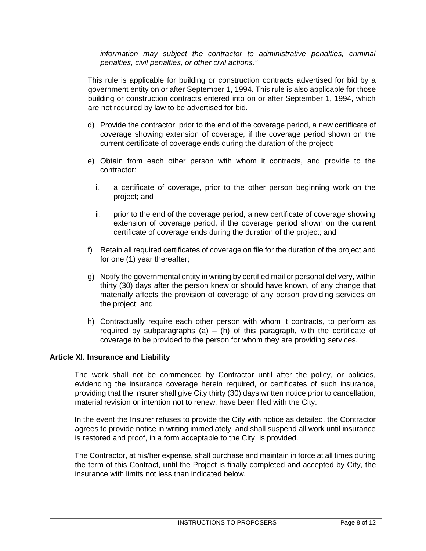*information may subject the contractor to administrative penalties, criminal penalties, civil penalties, or other civil actions."*

This rule is applicable for building or construction contracts advertised for bid by a government entity on or after September 1, 1994. This rule is also applicable for those building or construction contracts entered into on or after September 1, 1994, which are not required by law to be advertised for bid.

- d) Provide the contractor, prior to the end of the coverage period, a new certificate of coverage showing extension of coverage, if the coverage period shown on the current certificate of coverage ends during the duration of the project;
- e) Obtain from each other person with whom it contracts, and provide to the contractor:
	- i. a certificate of coverage, prior to the other person beginning work on the project; and
	- ii. prior to the end of the coverage period, a new certificate of coverage showing extension of coverage period, if the coverage period shown on the current certificate of coverage ends during the duration of the project; and
- f) Retain all required certificates of coverage on file for the duration of the project and for one (1) year thereafter;
- g) Notify the governmental entity in writing by certified mail or personal delivery, within thirty (30) days after the person knew or should have known, of any change that materially affects the provision of coverage of any person providing services on the project; and
- h) Contractually require each other person with whom it contracts, to perform as required by subparagraphs (a)  $-$  (h) of this paragraph, with the certificate of coverage to be provided to the person for whom they are providing services.

#### **Article XI. Insurance and Liability**

The work shall not be commenced by Contractor until after the policy, or policies, evidencing the insurance coverage herein required, or certificates of such insurance, providing that the insurer shall give City thirty (30) days written notice prior to cancellation, material revision or intention not to renew, have been filed with the City.

In the event the Insurer refuses to provide the City with notice as detailed, the Contractor agrees to provide notice in writing immediately, and shall suspend all work until insurance is restored and proof, in a form acceptable to the City, is provided.

The Contractor, at his/her expense, shall purchase and maintain in force at all times during the term of this Contract, until the Project is finally completed and accepted by City, the insurance with limits not less than indicated below.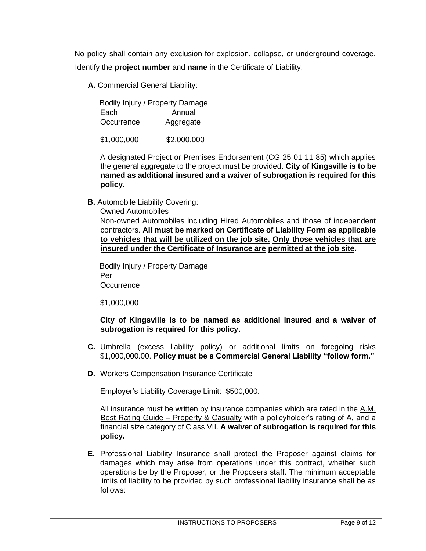No policy shall contain any exclusion for explosion, collapse, or underground coverage. Identify the **project number** and **name** in the Certificate of Liability.

 **A.** Commercial General Liability:

|            | Bodily Injury / Property Damage |
|------------|---------------------------------|
| Each       | Annual                          |
| Occurrence | Aggregate                       |

\$1,000,000 \$2,000,000

A designated Project or Premises Endorsement (CG 25 01 11 85) which applies the general aggregate to the project must be provided. **City of Kingsville is to be named as additional insured and a waiver of subrogation is required for this policy.**

**B.** Automobile Liability Covering:

Owned Automobiles

Non-owned Automobiles including Hired Automobiles and those of independent contractors. **All must be marked on Certificate of Liability Form as applicable to vehicles that will be utilized on the job site. Only those vehicles that are insured under the Certificate of Insurance are permitted at the job site.** 

Bodily Injury / Property Damage Per **Occurrence** 

\$1,000,000

**City of Kingsville is to be named as additional insured and a waiver of subrogation is required for this policy.**

- **C.** Umbrella (excess liability policy) or additional limits on foregoing risks \$1,000,000.00. **Policy must be a Commercial General Liability "follow form."**
- **D.** Workers Compensation Insurance Certificate

Employer's Liability Coverage Limit: \$500,000.

All insurance must be written by insurance companies which are rated in the A.M. Best Rating Guide – Property & Casualty with a policyholder's rating of A, and a financial size category of Class VII. **A waiver of subrogation is required for this policy.**

**E.** Professional Liability Insurance shall protect the Proposer against claims for damages which may arise from operations under this contract, whether such operations be by the Proposer, or the Proposers staff. The minimum acceptable limits of liability to be provided by such professional liability insurance shall be as follows: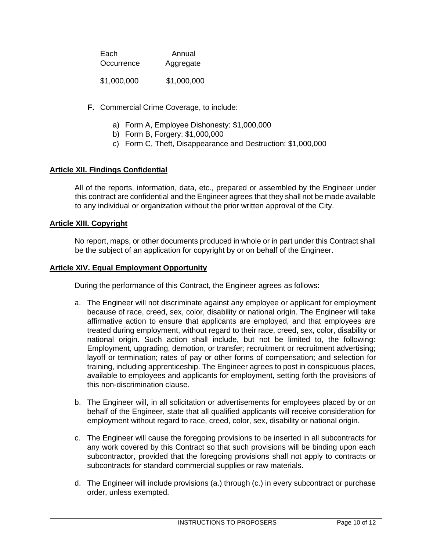| Each        | Annual      |
|-------------|-------------|
| Occurrence  | Aggregate   |
| \$1,000,000 | \$1,000,000 |

- **F.** Commercial Crime Coverage, to include:
	- a) Form A, Employee Dishonesty: \$1,000,000
	- b) Form B, Forgery: \$1,000,000
	- c) Form C, Theft, Disappearance and Destruction: \$1,000,000

#### **Article XII. Findings Confidential**

All of the reports, information, data, etc., prepared or assembled by the Engineer under this contract are confidential and the Engineer agrees that they shall not be made available to any individual or organization without the prior written approval of the City.

#### **Article XIII. Copyright**

No report, maps, or other documents produced in whole or in part under this Contract shall be the subject of an application for copyright by or on behalf of the Engineer.

#### **Article XIV. Equal Employment Opportunity**

During the performance of this Contract, the Engineer agrees as follows:

- a. The Engineer will not discriminate against any employee or applicant for employment because of race, creed, sex, color, disability or national origin. The Engineer will take affirmative action to ensure that applicants are employed, and that employees are treated during employment, without regard to their race, creed, sex, color, disability or national origin. Such action shall include, but not be limited to, the following: Employment, upgrading, demotion, or transfer; recruitment or recruitment advertising; layoff or termination; rates of pay or other forms of compensation; and selection for training, including apprenticeship. The Engineer agrees to post in conspicuous places, available to employees and applicants for employment, setting forth the provisions of this non-discrimination clause.
- b. The Engineer will, in all solicitation or advertisements for employees placed by or on behalf of the Engineer, state that all qualified applicants will receive consideration for employment without regard to race, creed, color, sex, disability or national origin.
- c. The Engineer will cause the foregoing provisions to be inserted in all subcontracts for any work covered by this Contract so that such provisions will be binding upon each subcontractor, provided that the foregoing provisions shall not apply to contracts or subcontracts for standard commercial supplies or raw materials.
- d. The Engineer will include provisions (a.) through (c.) in every subcontract or purchase order, unless exempted.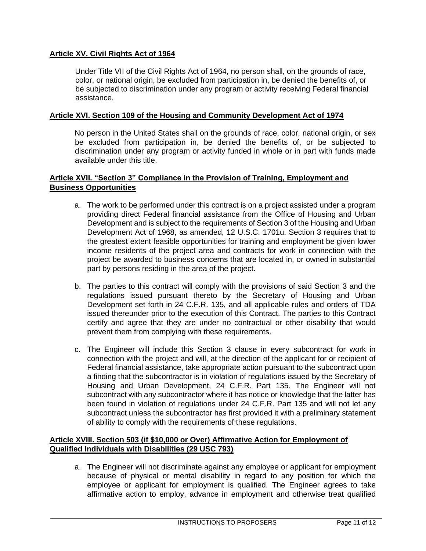### **Article XV. Civil Rights Act of 1964**

Under Title VII of the Civil Rights Act of 1964, no person shall, on the grounds of race, color, or national origin, be excluded from participation in, be denied the benefits of, or be subjected to discrimination under any program or activity receiving Federal financial assistance.

#### **Article XVI. Section 109 of the Housing and Community Development Act of 1974**

No person in the United States shall on the grounds of race, color, national origin, or sex be excluded from participation in, be denied the benefits of, or be subjected to discrimination under any program or activity funded in whole or in part with funds made available under this title.

#### **Article XVII. "Section 3" Compliance in the Provision of Training, Employment and Business Opportunities**

- a. The work to be performed under this contract is on a project assisted under a program providing direct Federal financial assistance from the Office of Housing and Urban Development and is subject to the requirements of Section 3 of the Housing and Urban Development Act of 1968, as amended, 12 U.S.C. 1701u. Section 3 requires that to the greatest extent feasible opportunities for training and employment be given lower income residents of the project area and contracts for work in connection with the project be awarded to business concerns that are located in, or owned in substantial part by persons residing in the area of the project.
- b. The parties to this contract will comply with the provisions of said Section 3 and the regulations issued pursuant thereto by the Secretary of Housing and Urban Development set forth in 24 C.F.R. 135, and all applicable rules and orders of TDA issued thereunder prior to the execution of this Contract. The parties to this Contract certify and agree that they are under no contractual or other disability that would prevent them from complying with these requirements.
- c. The Engineer will include this Section 3 clause in every subcontract for work in connection with the project and will, at the direction of the applicant for or recipient of Federal financial assistance, take appropriate action pursuant to the subcontract upon a finding that the subcontractor is in violation of regulations issued by the Secretary of Housing and Urban Development, 24 C.F.R. Part 135. The Engineer will not subcontract with any subcontractor where it has notice or knowledge that the latter has been found in violation of regulations under 24 C.F.R. Part 135 and will not let any subcontract unless the subcontractor has first provided it with a preliminary statement of ability to comply with the requirements of these regulations.

### **Article XVIII. Section 503 (if \$10,000 or Over) Affirmative Action for Employment of Qualified Individuals with Disabilities (29 USC 793)**

a. The Engineer will not discriminate against any employee or applicant for employment because of physical or mental disability in regard to any position for which the employee or applicant for employment is qualified. The Engineer agrees to take affirmative action to employ, advance in employment and otherwise treat qualified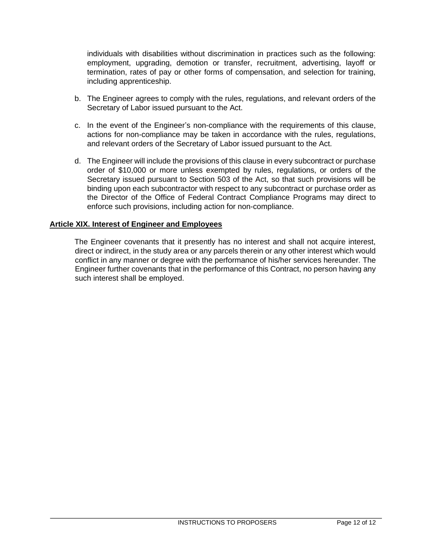individuals with disabilities without discrimination in practices such as the following: employment, upgrading, demotion or transfer, recruitment, advertising, layoff or termination, rates of pay or other forms of compensation, and selection for training, including apprenticeship.

- b. The Engineer agrees to comply with the rules, regulations, and relevant orders of the Secretary of Labor issued pursuant to the Act.
- c. In the event of the Engineer's non-compliance with the requirements of this clause, actions for non-compliance may be taken in accordance with the rules, regulations, and relevant orders of the Secretary of Labor issued pursuant to the Act.
- d. The Engineer will include the provisions of this clause in every subcontract or purchase order of \$10,000 or more unless exempted by rules, regulations, or orders of the Secretary issued pursuant to Section 503 of the Act, so that such provisions will be binding upon each subcontractor with respect to any subcontract or purchase order as the Director of the Office of Federal Contract Compliance Programs may direct to enforce such provisions, including action for non-compliance.

#### **Article XIX. Interest of Engineer and Employees**

The Engineer covenants that it presently has no interest and shall not acquire interest, direct or indirect, in the study area or any parcels therein or any other interest which would conflict in any manner or degree with the performance of his/her services hereunder. The Engineer further covenants that in the performance of this Contract, no person having any such interest shall be employed.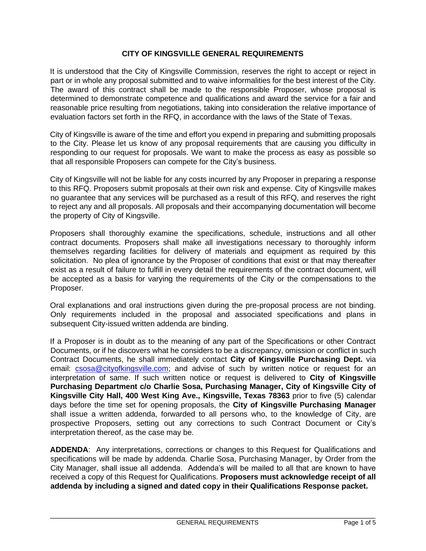#### **CITY OF KINGSVILLE GENERAL REQUIREMENTS**

It is understood that the City of Kingsville Commission, reserves the right to accept or reject in part or in whole any proposal submitted and to waive informalities for the best interest of the City. The award of this contract shall be made to the responsible Proposer, whose proposal is determined to demonstrate competence and qualifications and award the service for a fair and reasonable price resulting from negotiations, taking into consideration the relative importance of evaluation factors set forth in the RFQ, in accordance with the laws of the State of Texas.

City of Kingsville is aware of the time and effort you expend in preparing and submitting proposals to the City. Please let us know of any proposal requirements that are causing you difficulty in responding to our request for proposals. We want to make the process as easy as possible so that all responsible Proposers can compete for the City's business.

City of Kingsville will not be liable for any costs incurred by any Proposer in preparing a response to this RFQ. Proposers submit proposals at their own risk and expense. City of Kingsville makes no guarantee that any services will be purchased as a result of this RFQ, and reserves the right to reject any and all proposals. All proposals and their accompanying documentation will become the property of City of Kingsville.

Proposers shall thoroughly examine the specifications, schedule, instructions and all other contract documents. Proposers shall make all investigations necessary to thoroughly inform themselves regarding facilities for delivery of materials and equipment as required by this solicitation. No plea of ignorance by the Proposer of conditions that exist or that may thereafter exist as a result of failure to fulfill in every detail the requirements of the contract document, will be accepted as a basis for varying the requirements of the City or the compensations to the Proposer.

Oral explanations and oral instructions given during the pre-proposal process are not binding. Only requirements included in the proposal and associated specifications and plans in subsequent City-issued written addenda are binding.

If a Proposer is in doubt as to the meaning of any part of the Specifications or other Contract Documents, or if he discovers what he considers to be a discrepancy, omission or conflict in such Contract Documents, he shall immediately contact **City of Kingsville Purchasing Dept.** via email: csosa@cityofkingsville.com; and advise of such by written notice or request for an interpretation of same. If such written notice or request is delivered to **City of Kingsville Purchasing Department c/o Charlie Sosa, Purchasing Manager, City of Kingsville City of Kingsville City Hall, 400 West King Ave., Kingsville, Texas 78363** prior to five (5) calendar days before the time set for opening proposals, the **City of Kingsville Purchasing Manager** shall issue a written addenda, forwarded to all persons who, to the knowledge of City, are prospective Proposers, setting out any corrections to such Contract Document or City's interpretation thereof, as the case may be.

**ADDENDA**: Any interpretations, corrections or changes to this Request for Qualifications and specifications will be made by addenda. Charlie Sosa, Purchasing Manager, by Order from the City Manager, shall issue all addenda. Addenda's will be mailed to all that are known to have received a copy of this Request for Qualifications. **Proposers must acknowledge receipt of all addenda by including a signed and dated copy in their Qualifications Response packet.**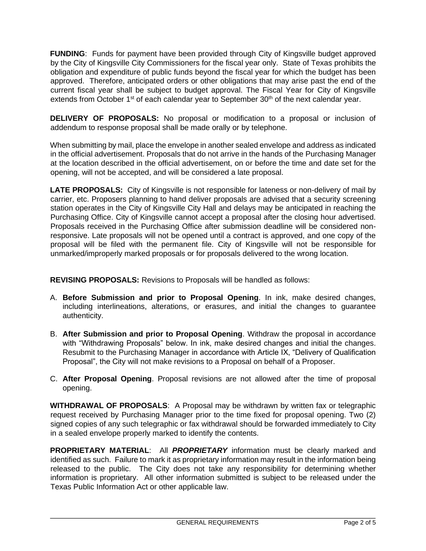**FUNDING**: Funds for payment have been provided through City of Kingsville budget approved by the City of Kingsville City Commissioners for the fiscal year only. State of Texas prohibits the obligation and expenditure of public funds beyond the fiscal year for which the budget has been approved. Therefore, anticipated orders or other obligations that may arise past the end of the current fiscal year shall be subject to budget approval. The Fiscal Year for City of Kingsville extends from October 1<sup>st</sup> of each calendar year to September 30<sup>th</sup> of the next calendar year.

**DELIVERY OF PROPOSALS:** No proposal or modification to a proposal or inclusion of addendum to response proposal shall be made orally or by telephone.

When submitting by mail, place the envelope in another sealed envelope and address as indicated in the official advertisement. Proposals that do not arrive in the hands of the Purchasing Manager at the location described in the official advertisement, on or before the time and date set for the opening, will not be accepted, and will be considered a late proposal.

**LATE PROPOSALS:** City of Kingsville is not responsible for lateness or non-delivery of mail by carrier, etc. Proposers planning to hand deliver proposals are advised that a security screening station operates in the City of Kingsville City Hall and delays may be anticipated in reaching the Purchasing Office. City of Kingsville cannot accept a proposal after the closing hour advertised. Proposals received in the Purchasing Office after submission deadline will be considered nonresponsive. Late proposals will not be opened until a contract is approved, and one copy of the proposal will be filed with the permanent file. City of Kingsville will not be responsible for unmarked/improperly marked proposals or for proposals delivered to the wrong location.

**REVISING PROPOSALS:** Revisions to Proposals will be handled as follows:

- A. **Before Submission and prior to Proposal Opening**. In ink, make desired changes, including interlineations, alterations, or erasures, and initial the changes to guarantee authenticity.
- B. **After Submission and prior to Proposal Opening**. Withdraw the proposal in accordance with "Withdrawing Proposals" below. In ink, make desired changes and initial the changes. Resubmit to the Purchasing Manager in accordance with Article IX, "Delivery of Qualification Proposal", the City will not make revisions to a Proposal on behalf of a Proposer.
- C. **After Proposal Opening**. Proposal revisions are not allowed after the time of proposal opening.

**WITHDRAWAL OF PROPOSALS**: A Proposal may be withdrawn by written fax or telegraphic request received by Purchasing Manager prior to the time fixed for proposal opening. Two (2) signed copies of any such telegraphic or fax withdrawal should be forwarded immediately to City in a sealed envelope properly marked to identify the contents.

**PROPRIETARY MATERIAL**: All *PROPRIETARY* information must be clearly marked and identified as such. Failure to mark it as proprietary information may result in the information being released to the public. The City does not take any responsibility for determining whether information is proprietary. All other information submitted is subject to be released under the Texas Public Information Act or other applicable law.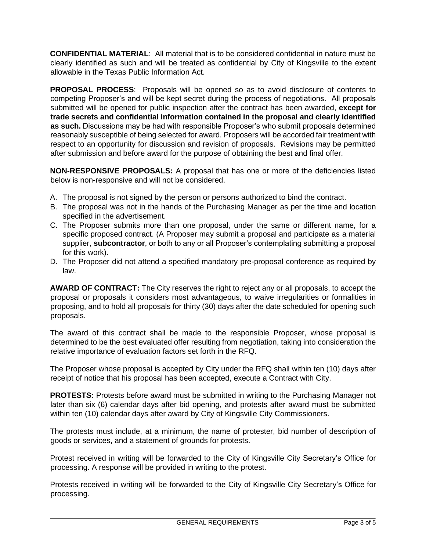**CONFIDENTIAL MATERIAL**: All material that is to be considered confidential in nature must be clearly identified as such and will be treated as confidential by City of Kingsville to the extent allowable in the Texas Public Information Act.

**PROPOSAL PROCESS**: Proposals will be opened so as to avoid disclosure of contents to competing Proposer's and will be kept secret during the process of negotiations. All proposals submitted will be opened for public inspection after the contract has been awarded, **except for trade secrets and confidential information contained in the proposal and clearly identified as such.** Discussions may be had with responsible Proposer's who submit proposals determined reasonably susceptible of being selected for award. Proposers will be accorded fair treatment with respect to an opportunity for discussion and revision of proposals. Revisions may be permitted after submission and before award for the purpose of obtaining the best and final offer.

**NON-RESPONSIVE PROPOSALS:** A proposal that has one or more of the deficiencies listed below is non-responsive and will not be considered.

- A. The proposal is not signed by the person or persons authorized to bind the contract.
- B. The proposal was not in the hands of the Purchasing Manager as per the time and location specified in the advertisement.
- C. The Proposer submits more than one proposal, under the same or different name, for a specific proposed contract. (A Proposer may submit a proposal and participate as a material supplier, **subcontractor**, or both to any or all Proposer's contemplating submitting a proposal for this work).
- D. The Proposer did not attend a specified mandatory pre-proposal conference as required by law.

**AWARD OF CONTRACT:** The City reserves the right to reject any or all proposals, to accept the proposal or proposals it considers most advantageous, to waive irregularities or formalities in proposing, and to hold all proposals for thirty (30) days after the date scheduled for opening such proposals.

The award of this contract shall be made to the responsible Proposer, whose proposal is determined to be the best evaluated offer resulting from negotiation, taking into consideration the relative importance of evaluation factors set forth in the RFQ.

The Proposer whose proposal is accepted by City under the RFQ shall within ten (10) days after receipt of notice that his proposal has been accepted, execute a Contract with City.

**PROTESTS:** Protests before award must be submitted in writing to the Purchasing Manager not later than six (6) calendar days after bid opening, and protests after award must be submitted within ten (10) calendar days after award by City of Kingsville City Commissioners.

The protests must include, at a minimum, the name of protester, bid number of description of goods or services, and a statement of grounds for protests.

Protest received in writing will be forwarded to the City of Kingsville City Secretary's Office for processing. A response will be provided in writing to the protest.

Protests received in writing will be forwarded to the City of Kingsville City Secretary's Office for processing.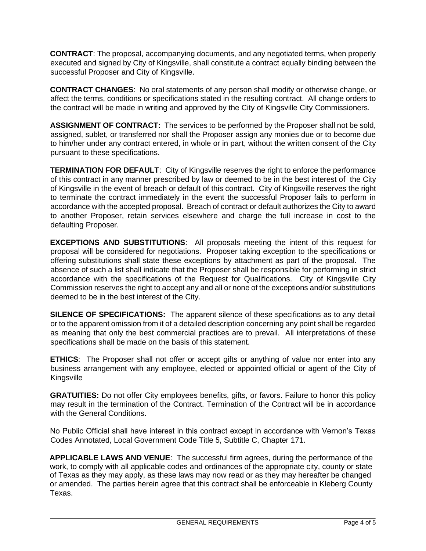**CONTRACT**: The proposal, accompanying documents, and any negotiated terms, when properly executed and signed by City of Kingsville, shall constitute a contract equally binding between the successful Proposer and City of Kingsville.

**CONTRACT CHANGES**: No oral statements of any person shall modify or otherwise change, or affect the terms, conditions or specifications stated in the resulting contract. All change orders to the contract will be made in writing and approved by the City of Kingsville City Commissioners.

**ASSIGNMENT OF CONTRACT:** The services to be performed by the Proposer shall not be sold, assigned, sublet, or transferred nor shall the Proposer assign any monies due or to become due to him/her under any contract entered, in whole or in part, without the written consent of the City pursuant to these specifications.

**TERMINATION FOR DEFAULT**: City of Kingsville reserves the right to enforce the performance of this contract in any manner prescribed by law or deemed to be in the best interest of the City of Kingsville in the event of breach or default of this contract. City of Kingsville reserves the right to terminate the contract immediately in the event the successful Proposer fails to perform in accordance with the accepted proposal. Breach of contract or default authorizes the City to award to another Proposer, retain services elsewhere and charge the full increase in cost to the defaulting Proposer.

**EXCEPTIONS AND SUBSTITUTIONS**: All proposals meeting the intent of this request for proposal will be considered for negotiations. Proposer taking exception to the specifications or offering substitutions shall state these exceptions by attachment as part of the proposal. The absence of such a list shall indicate that the Proposer shall be responsible for performing in strict accordance with the specifications of the Request for Qualifications. City of Kingsville City Commission reserves the right to accept any and all or none of the exceptions and/or substitutions deemed to be in the best interest of the City.

**SILENCE OF SPECIFICATIONS:** The apparent silence of these specifications as to any detail or to the apparent omission from it of a detailed description concerning any point shall be regarded as meaning that only the best commercial practices are to prevail. All interpretations of these specifications shall be made on the basis of this statement.

**ETHICS**: The Proposer shall not offer or accept gifts or anything of value nor enter into any business arrangement with any employee, elected or appointed official or agent of the City of Kingsville

**GRATUITIES:** Do not offer City employees benefits, gifts, or favors. Failure to honor this policy may result in the termination of the Contract. Termination of the Contract will be in accordance with the General Conditions.

No Public Official shall have interest in this contract except in accordance with Vernon's Texas Codes Annotated, Local Government Code Title 5, Subtitle C, Chapter 171.

**APPLICABLE LAWS AND VENUE**:The successful firm agrees, during the performance of the work, to comply with all applicable codes and ordinances of the appropriate city, county or state of Texas as they may apply, as these laws may now read or as they may hereafter be changed or amended. The parties herein agree that this contract shall be enforceable in Kleberg County Texas.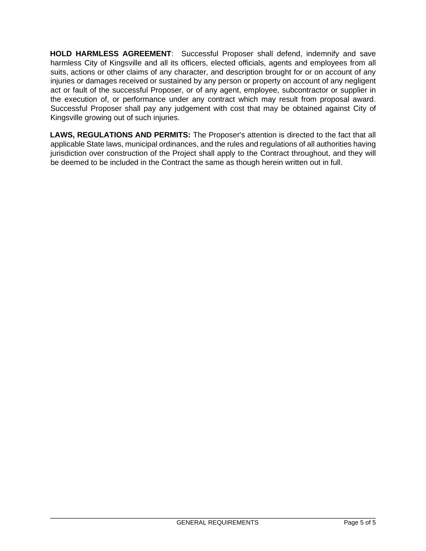**HOLD HARMLESS AGREEMENT**: Successful Proposer shall defend, indemnify and save harmless City of Kingsville and all its officers, elected officials, agents and employees from all suits, actions or other claims of any character, and description brought for or on account of any injuries or damages received or sustained by any person or property on account of any negligent act or fault of the successful Proposer, or of any agent, employee, subcontractor or supplier in the execution of, or performance under any contract which may result from proposal award. Successful Proposer shall pay any judgement with cost that may be obtained against City of Kingsville growing out of such injuries.

**LAWS, REGULATIONS AND PERMITS:** The Proposer's attention is directed to the fact that all applicable State laws, municipal ordinances, and the rules and regulations of all authorities having jurisdiction over construction of the Project shall apply to the Contract throughout, and they will be deemed to be included in the Contract the same as though herein written out in full.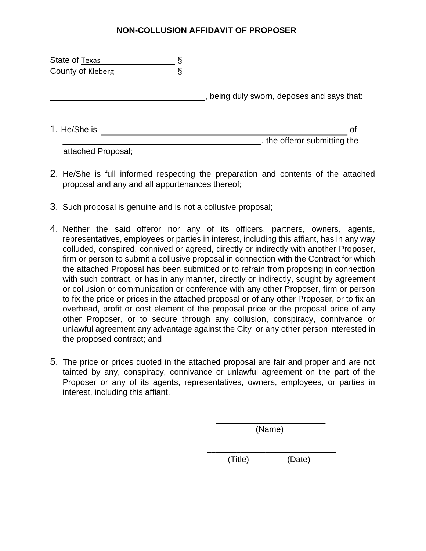## **NON-COLLUSION AFFIDAVIT OF PROPOSER**

| State of Texas    |                                          |
|-------------------|------------------------------------------|
| County of Kleberg |                                          |
|                   | being duly sworn, deposes and says that: |
| 1. He/She is      | οf                                       |
|                   | the offeror submitting the               |

attached Proposal;

- 2. He/She is full informed respecting the preparation and contents of the attached proposal and any and all appurtenances thereof;
- 3. Such proposal is genuine and is not a collusive proposal;
- 4. Neither the said offeror nor any of its officers, partners, owners, agents, representatives, employees or parties in interest, including this affiant, has in any way colluded, conspired, connived or agreed, directly or indirectly with another Proposer, firm or person to submit a collusive proposal in connection with the Contract for which the attached Proposal has been submitted or to refrain from proposing in connection with such contract, or has in any manner, directly or indirectly, sought by agreement or collusion or communication or conference with any other Proposer, firm or person to fix the price or prices in the attached proposal or of any other Proposer, or to fix an overhead, profit or cost element of the proposal price or the proposal price of any other Proposer, or to secure through any collusion, conspiracy, connivance or unlawful agreement any advantage against the City or any other person interested in the proposed contract; and
- 5. The price or prices quoted in the attached proposal are fair and proper and are not tainted by any, conspiracy, connivance or unlawful agreement on the part of the Proposer or any of its agents, representatives, owners, employees, or parties in interest, including this affiant.

(Name)

\_\_\_\_\_\_\_\_\_\_\_\_\_\_\_\_\_\_\_\_\_\_\_\_\_\_\_\_\_\_\_

(Title) (Date)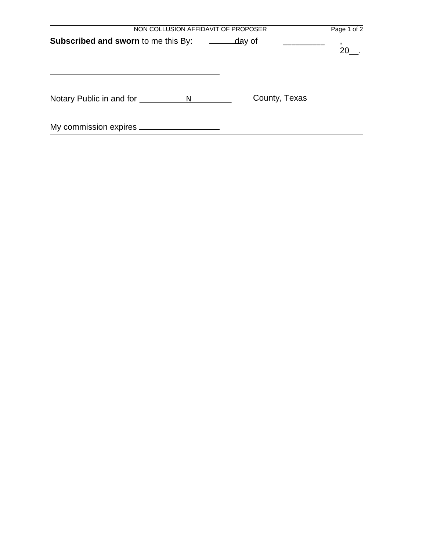| NON COLLUSION AFFIDAVIT OF PROPOSER            |               | Page 1 of 2 |
|------------------------------------------------|---------------|-------------|
| <b>Subscribed and sworn to me this By:</b>     | day of        | 20          |
| Notary Public in and for <u>secondary</u><br>N | County, Texas |             |
| My commission expires _____                    |               |             |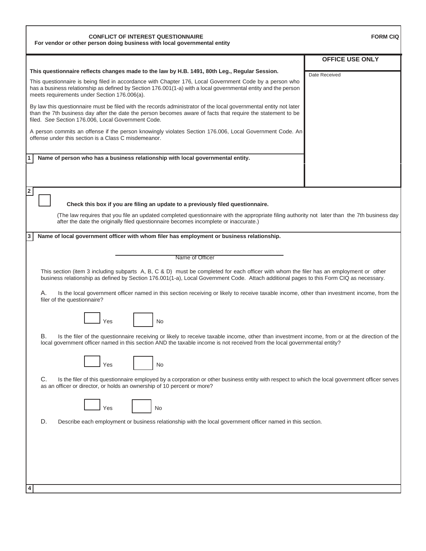| <b>CONFLICT OF INTEREST QUESTIONNAIRE</b><br>For vendor or other person doing business with local governmental entity                                                                                                                                                                  | <b>FORM CIQ</b>        |
|----------------------------------------------------------------------------------------------------------------------------------------------------------------------------------------------------------------------------------------------------------------------------------------|------------------------|
|                                                                                                                                                                                                                                                                                        | <b>OFFICE USE ONLY</b> |
| This questionnaire reflects changes made to the law by H.B. 1491, 80th Leg., Regular Session.                                                                                                                                                                                          | Date Received          |
| This questionnaire is being filed in accordance with Chapter 176, Local Government Code by a person who<br>has a business relationship as defined by Section 176.001(1-a) with a local governmental entity and the person<br>meets requirements under Section 176.006(a).              |                        |
| By law this questionnaire must be filed with the records administrator of the local governmental entity not later<br>than the 7th business day after the date the person becomes aware of facts that require the statement to be<br>filed. See Section 176.006, Local Government Code. |                        |
| A person commits an offense if the person knowingly violates Section 176.006, Local Government Code. An<br>offense under this section is a Class C misdemeanor.                                                                                                                        |                        |
| Name of person who has a business relationship with local governmental entity.<br>1.                                                                                                                                                                                                   |                        |
|                                                                                                                                                                                                                                                                                        |                        |
| $\mathbf{2}$<br>Check this box if you are filing an update to a previously filed questionnaire.                                                                                                                                                                                        |                        |
| (The law requires that you file an updated completed questionnaire with the appropriate filing authority not later than the 7th business day<br>after the date the originally filed questionnaire becomes incomplete or inaccurate.)                                                   |                        |
| 3 <br>Name of local government officer with whom filer has employment or business relationship.                                                                                                                                                                                        |                        |
|                                                                                                                                                                                                                                                                                        |                        |
| Name of Officer                                                                                                                                                                                                                                                                        |                        |
| This section (item 3 including subparts A, B, C & D) must be completed for each officer with whom the filer has an employment or other<br>business relationship as defined by Section 176.001(1-a), Local Government Code. Attach additional pages to this Form CIQ as necessary.      |                        |
| А.<br>Is the local government officer named in this section receiving or likely to receive taxable income, other than investment income, from the<br>filer of the questionnaire?                                                                                                       |                        |
| <b>No</b><br>Yes                                                                                                                                                                                                                                                                       |                        |
| В.<br>Is the filer of the questionnaire receiving or likely to receive taxable income, other than investment income, from or at the direction of the<br>local government officer named in this section AND the taxable income is not received from the local governmental entity?      |                        |
| Yes<br>No                                                                                                                                                                                                                                                                              |                        |
| C.<br>Is the filer of this questionnaire employed by a corporation or other business entity with respect to which the local government officer serves<br>as an officer or director, or holds an ownership of 10 percent or more?                                                       |                        |
| No<br>Yes                                                                                                                                                                                                                                                                              |                        |
| D.<br>Describe each employment or business relationship with the local government officer named in this section.                                                                                                                                                                       |                        |
|                                                                                                                                                                                                                                                                                        |                        |
|                                                                                                                                                                                                                                                                                        |                        |
|                                                                                                                                                                                                                                                                                        |                        |
| 4                                                                                                                                                                                                                                                                                      |                        |

Г

٦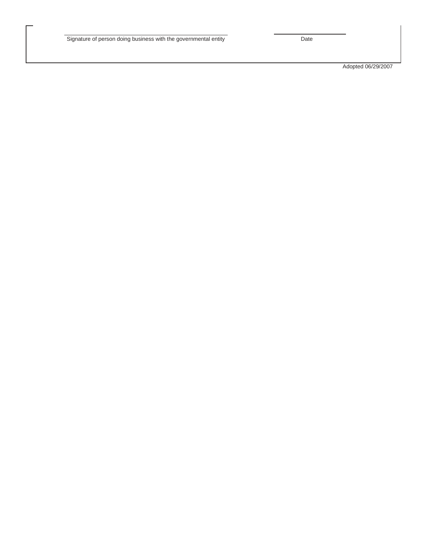Adopted 06/29/2007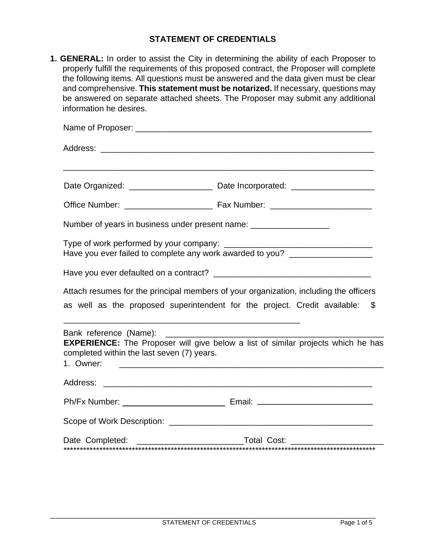## **STATEMENT OF CREDENTIALS**

**1. GENERAL:** In order to assist the City in determining the ability of each Proposer to properly fulfill the requirements of this proposed contract, the Proposer will complete the following items. All questions must be answered and the data given must be clear and comprehensive. **This statement must be notarized.** If necessary, questions may be answered on separate attached sheets. The Proposer may submit any additional information he desires.

|                                                                           | Date Organized: ____________________________ Date Incorporated: ________________                                                                                                                                |
|---------------------------------------------------------------------------|-----------------------------------------------------------------------------------------------------------------------------------------------------------------------------------------------------------------|
|                                                                           |                                                                                                                                                                                                                 |
| Number of years in business under present name: ____________________      |                                                                                                                                                                                                                 |
|                                                                           | Have you ever failed to complete any work awarded to you? _____________________                                                                                                                                 |
|                                                                           |                                                                                                                                                                                                                 |
|                                                                           | Attach resumes for the principal members of your organization, including the officers                                                                                                                           |
| as well as the proposed superintendent for the project. Credit available: | \$                                                                                                                                                                                                              |
| completed within the last seven (7) years.<br>1. Owner:                   | <u> 1989 - Johann Stein, marwolaethau a bhann an t-Amhain an t-Amhain an t-Amhain an t-Amhain an t-Amhain an t-A</u><br><b>EXPERIENCE:</b> The Proposer will give below a list of similar projects which he has |
| Address:                                                                  | <u> 1988 - Johann John Stein, marwolaethau (b. 1988)</u>                                                                                                                                                        |
|                                                                           |                                                                                                                                                                                                                 |
|                                                                           |                                                                                                                                                                                                                 |
|                                                                           |                                                                                                                                                                                                                 |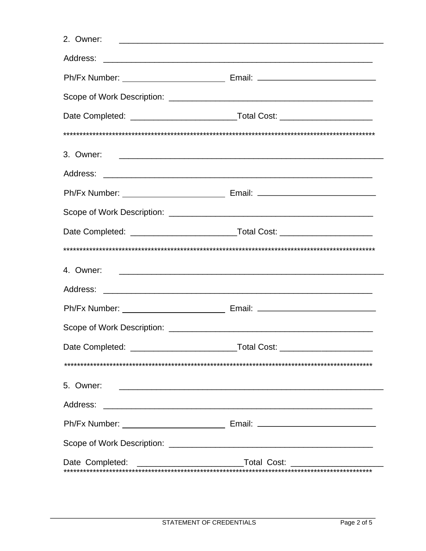| 2. Owner: 2. Owner: 2. Owner: 2. Owner: 2. Owner: 2. Owner: 2. Owner: 2. Owner: 2. Owner: 2. Owner: 2. Owner: 2. Owner: 2. Owner: 2. Owner: 2. Owner: 2. Owner: 2. Owner: 2. Owner: 2. Owner: 2. Owner: 2. Owner: 2. Owner: 2. |                                                                                  |
|--------------------------------------------------------------------------------------------------------------------------------------------------------------------------------------------------------------------------------|----------------------------------------------------------------------------------|
|                                                                                                                                                                                                                                |                                                                                  |
|                                                                                                                                                                                                                                |                                                                                  |
|                                                                                                                                                                                                                                |                                                                                  |
|                                                                                                                                                                                                                                |                                                                                  |
|                                                                                                                                                                                                                                |                                                                                  |
|                                                                                                                                                                                                                                |                                                                                  |
|                                                                                                                                                                                                                                |                                                                                  |
|                                                                                                                                                                                                                                |                                                                                  |
|                                                                                                                                                                                                                                |                                                                                  |
|                                                                                                                                                                                                                                |                                                                                  |
|                                                                                                                                                                                                                                |                                                                                  |
| 4. Owner: 2008. 2009. 2009. 2009. 2010. 2010. 2010. 2010. 2010. 2010. 2010. 2010. 2010. 2010. 2010. 2010. 2010                                                                                                                 |                                                                                  |
|                                                                                                                                                                                                                                |                                                                                  |
|                                                                                                                                                                                                                                |                                                                                  |
|                                                                                                                                                                                                                                |                                                                                  |
|                                                                                                                                                                                                                                |                                                                                  |
|                                                                                                                                                                                                                                |                                                                                  |
| 5. Owner:                                                                                                                                                                                                                      |                                                                                  |
|                                                                                                                                                                                                                                |                                                                                  |
|                                                                                                                                                                                                                                |                                                                                  |
|                                                                                                                                                                                                                                |                                                                                  |
|                                                                                                                                                                                                                                | Date Completed: _________________________________Total Cost: ___________________ |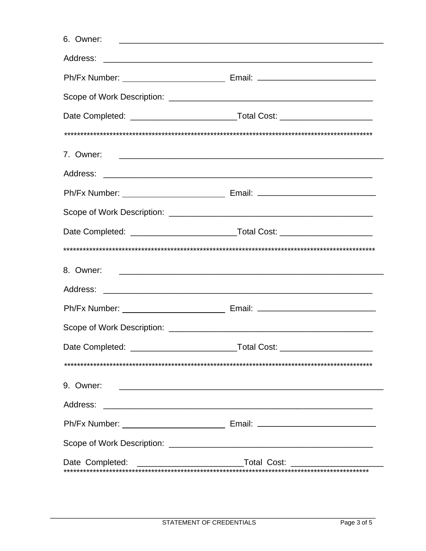| 8. Owner: 2008. Communication of the contract of the contract of the contract of the contract of the contract of the contract of the contract of the contract of the contract of the contract of the contract of the contract |  |
|-------------------------------------------------------------------------------------------------------------------------------------------------------------------------------------------------------------------------------|--|
|                                                                                                                                                                                                                               |  |
|                                                                                                                                                                                                                               |  |
|                                                                                                                                                                                                                               |  |
|                                                                                                                                                                                                                               |  |
|                                                                                                                                                                                                                               |  |
| 9. Owner:<br><u> 1980 - Andrea Station, amerikansk politik (d. 1980)</u>                                                                                                                                                      |  |
|                                                                                                                                                                                                                               |  |
|                                                                                                                                                                                                                               |  |
|                                                                                                                                                                                                                               |  |
| Date Completed: ___________________________________Total Cost: _________________                                                                                                                                              |  |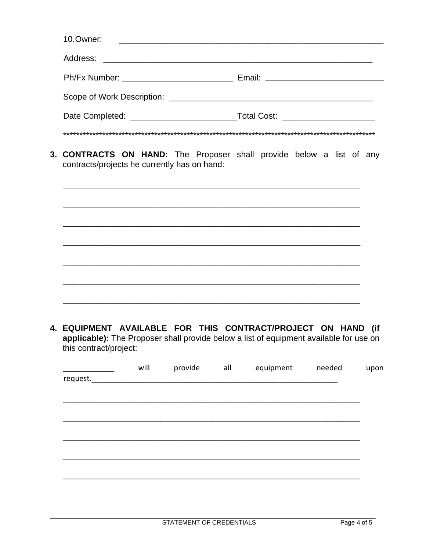| 10.Owner: |  |
|-----------|--|
|           |  |
|           |  |
|           |  |
|           |  |
|           |  |

3. CONTRACTS ON HAND: The Proposer shall provide below a list of any contracts/projects he currently has on hand:

4. EQUIPMENT AVAILABLE FOR THIS CONTRACT/PROJECT ON HAND (if applicable): The Proposer shall provide below a list of equipment available for use on this contract/project:

|          | will | provide all | equipment | needed | upon |
|----------|------|-------------|-----------|--------|------|
| request. |      |             |           |        |      |
|          |      |             |           |        |      |
|          |      |             |           |        |      |
|          |      |             |           |        |      |
|          |      |             |           |        |      |
|          |      |             |           |        |      |
|          |      |             |           |        |      |
|          |      |             |           |        |      |
|          |      |             |           |        |      |
|          |      |             |           |        |      |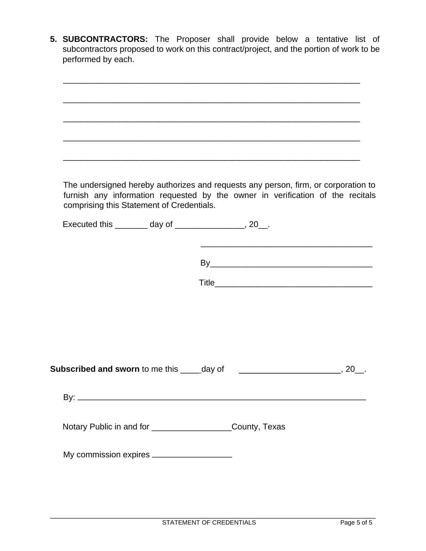**5. SUBCONTRACTORS:** The Proposer shall provide below a tentative list of subcontractors proposed to work on this contract/project, and the portion of work to be performed by each.

|                                                      |                                                              | <u> 1989 - Johann Harry Harry Harry Harry Harry Harry Harry Harry Harry Harry Harry Harry Harry Harry Harry Harry</u> |                                                                                                                                                                      |
|------------------------------------------------------|--------------------------------------------------------------|-----------------------------------------------------------------------------------------------------------------------|----------------------------------------------------------------------------------------------------------------------------------------------------------------------|
|                                                      |                                                              |                                                                                                                       |                                                                                                                                                                      |
| comprising this Statement of Credentials.            |                                                              |                                                                                                                       | The undersigned hereby authorizes and requests any person, firm, or corporation to<br>furnish any information requested by the owner in verification of the recitals |
| Executed this ________ day of ________________, 20_. |                                                              |                                                                                                                       |                                                                                                                                                                      |
|                                                      |                                                              |                                                                                                                       |                                                                                                                                                                      |
|                                                      |                                                              |                                                                                                                       |                                                                                                                                                                      |
|                                                      |                                                              |                                                                                                                       |                                                                                                                                                                      |
|                                                      |                                                              |                                                                                                                       |                                                                                                                                                                      |
|                                                      |                                                              |                                                                                                                       |                                                                                                                                                                      |
|                                                      |                                                              |                                                                                                                       |                                                                                                                                                                      |
| Subscribed and sworn to me this ____day of           |                                                              |                                                                                                                       | , 20                                                                                                                                                                 |
|                                                      |                                                              |                                                                                                                       |                                                                                                                                                                      |
|                                                      | Notary Public in and for ______________________County, Texas |                                                                                                                       |                                                                                                                                                                      |
|                                                      |                                                              |                                                                                                                       |                                                                                                                                                                      |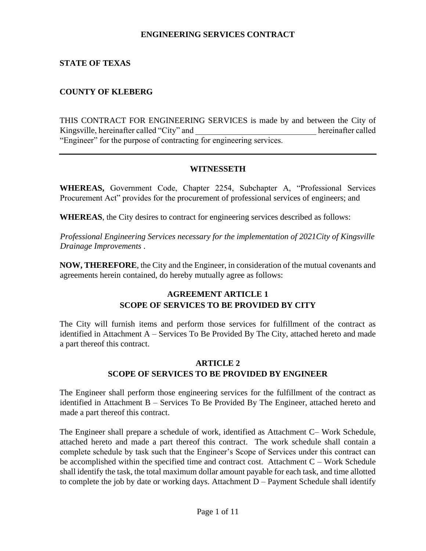### **ENGINEERING SERVICES CONTRACT**

## **STATE OF TEXAS**

## **COUNTY OF KLEBERG**

THIS CONTRACT FOR ENGINEERING SERVICES is made by and between the City of Kingsville, hereinafter called "City" and  $\blacksquare$  hereinafter called "Engineer" for the purpose of contracting for engineering services.

### **WITNESSETH**

**WHEREAS,** Government Code, Chapter 2254, Subchapter A, "Professional Services Procurement Act" provides for the procurement of professional services of engineers; and

**WHEREAS**, the City desires to contract for engineering services described as follows:

*Professional Engineering Services necessary for the implementation of 2021City of Kingsville Drainage Improvements .* 

**NOW, THEREFORE**, the City and the Engineer, in consideration of the mutual covenants and agreements herein contained, do hereby mutually agree as follows:

## **AGREEMENT ARTICLE 1 SCOPE OF SERVICES TO BE PROVIDED BY CITY**

The City will furnish items and perform those services for fulfillment of the contract as identified in Attachment A – Services To Be Provided By The City, attached hereto and made a part thereof this contract.

## **ARTICLE 2 SCOPE OF SERVICES TO BE PROVIDED BY ENGINEER**

The Engineer shall perform those engineering services for the fulfillment of the contract as identified in Attachment B – Services To Be Provided By The Engineer, attached hereto and made a part thereof this contract.

The Engineer shall prepare a schedule of work, identified as Attachment C– Work Schedule, attached hereto and made a part thereof this contract. The work schedule shall contain a complete schedule by task such that the Engineer's Scope of Services under this contract can be accomplished within the specified time and contract cost. Attachment  $C - Work$  Schedule shall identify the task, the total maximum dollar amount payable for each task, and time allotted to complete the job by date or working days. Attachment  $D -$  Payment Schedule shall identify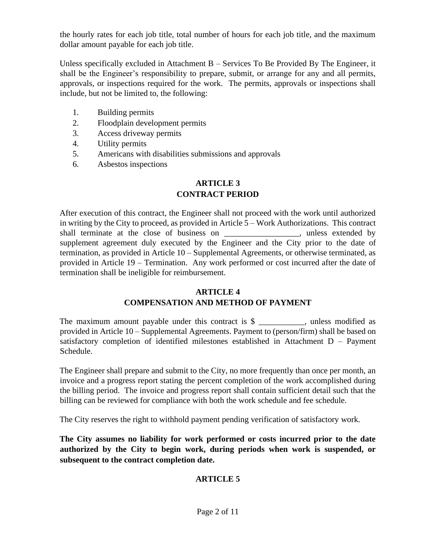the hourly rates for each job title, total number of hours for each job title, and the maximum dollar amount payable for each job title.

Unless specifically excluded in Attachment B – Services To Be Provided By The Engineer, it shall be the Engineer's responsibility to prepare, submit, or arrange for any and all permits, approvals, or inspections required for the work. The permits, approvals or inspections shall include, but not be limited to, the following:

- 1. Building permits
- 2. Floodplain development permits
- 3. Access driveway permits
- 4. Utility permits
- 5. Americans with disabilities submissions and approvals
- 6. Asbestos inspections

## **ARTICLE 3 CONTRACT PERIOD**

After execution of this contract, the Engineer shall not proceed with the work until authorized in writing by the City to proceed, as provided in Article 5 – Work Authorizations. This contract shall terminate at the close of business on \_\_\_\_\_\_\_\_\_\_\_\_\_\_\_\_\_\_, unless extended by supplement agreement duly executed by the Engineer and the City prior to the date of termination, as provided in Article 10 – Supplemental Agreements, or otherwise terminated, as provided in Article 19 – Termination. Any work performed or cost incurred after the date of termination shall be ineligible for reimbursement.

#### **ARTICLE 4**

## **COMPENSATION AND METHOD OF PAYMENT**

The maximum amount payable under this contract is  $\frac{1}{2}$  \_\_\_\_\_\_\_\_, unless modified as provided in Article 10 – Supplemental Agreements. Payment to (person/firm) shall be based on satisfactory completion of identified milestones established in Attachment D – Payment Schedule.

The Engineer shall prepare and submit to the City, no more frequently than once per month, an invoice and a progress report stating the percent completion of the work accomplished during the billing period. The invoice and progress report shall contain sufficient detail such that the billing can be reviewed for compliance with both the work schedule and fee schedule.

The City reserves the right to withhold payment pending verification of satisfactory work.

**The City assumes no liability for work performed or costs incurred prior to the date authorized by the City to begin work, during periods when work is suspended, or subsequent to the contract completion date.**

## **ARTICLE 5**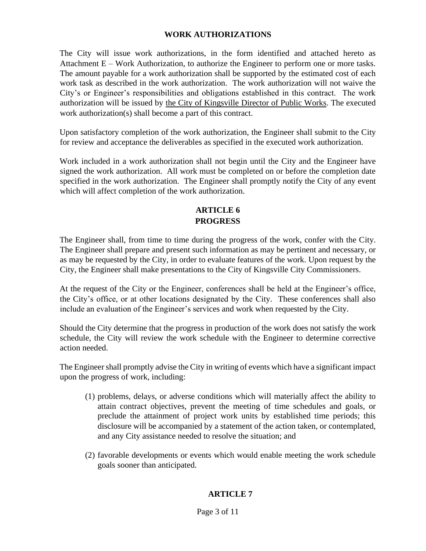## **WORK AUTHORIZATIONS**

The City will issue work authorizations, in the form identified and attached hereto as Attachment E – Work Authorization, to authorize the Engineer to perform one or more tasks. The amount payable for a work authorization shall be supported by the estimated cost of each work task as described in the work authorization. The work authorization will not waive the City's or Engineer's responsibilities and obligations established in this contract. The work authorization will be issued by the City of Kingsville Director of Public Works. The executed work authorization(s) shall become a part of this contract.

Upon satisfactory completion of the work authorization, the Engineer shall submit to the City for review and acceptance the deliverables as specified in the executed work authorization.

Work included in a work authorization shall not begin until the City and the Engineer have signed the work authorization. All work must be completed on or before the completion date specified in the work authorization. The Engineer shall promptly notify the City of any event which will affect completion of the work authorization.

## **ARTICLE 6 PROGRESS**

The Engineer shall, from time to time during the progress of the work, confer with the City. The Engineer shall prepare and present such information as may be pertinent and necessary, or as may be requested by the City, in order to evaluate features of the work. Upon request by the City, the Engineer shall make presentations to the City of Kingsville City Commissioners.

At the request of the City or the Engineer, conferences shall be held at the Engineer's office, the City's office, or at other locations designated by the City. These conferences shall also include an evaluation of the Engineer's services and work when requested by the City.

Should the City determine that the progress in production of the work does not satisfy the work schedule, the City will review the work schedule with the Engineer to determine corrective action needed.

The Engineer shall promptly advise the City in writing of events which have a significant impact upon the progress of work, including:

- (1) problems, delays, or adverse conditions which will materially affect the ability to attain contract objectives, prevent the meeting of time schedules and goals, or preclude the attainment of project work units by established time periods; this disclosure will be accompanied by a statement of the action taken, or contemplated, and any City assistance needed to resolve the situation; and
- (2) favorable developments or events which would enable meeting the work schedule goals sooner than anticipated.

## **ARTICLE 7**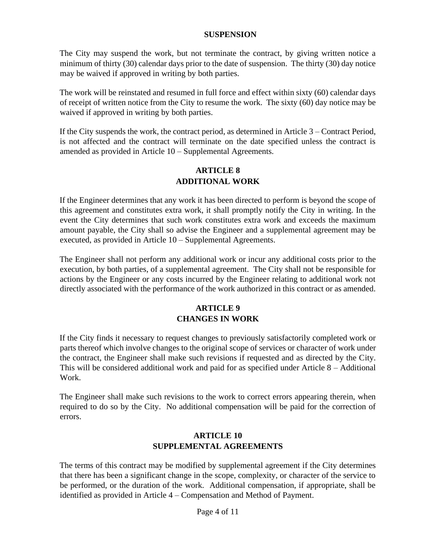#### **SUSPENSION**

The City may suspend the work, but not terminate the contract, by giving written notice a minimum of thirty (30) calendar days prior to the date of suspension. The thirty (30) day notice may be waived if approved in writing by both parties.

The work will be reinstated and resumed in full force and effect within sixty (60) calendar days of receipt of written notice from the City to resume the work. The sixty (60) day notice may be waived if approved in writing by both parties.

If the City suspends the work, the contract period, as determined in Article 3 – Contract Period, is not affected and the contract will terminate on the date specified unless the contract is amended as provided in Article 10 – Supplemental Agreements.

## **ARTICLE 8 ADDITIONAL WORK**

If the Engineer determines that any work it has been directed to perform is beyond the scope of this agreement and constitutes extra work, it shall promptly notify the City in writing. In the event the City determines that such work constitutes extra work and exceeds the maximum amount payable, the City shall so advise the Engineer and a supplemental agreement may be executed, as provided in Article 10 – Supplemental Agreements.

The Engineer shall not perform any additional work or incur any additional costs prior to the execution, by both parties, of a supplemental agreement. The City shall not be responsible for actions by the Engineer or any costs incurred by the Engineer relating to additional work not directly associated with the performance of the work authorized in this contract or as amended.

### **ARTICLE 9 CHANGES IN WORK**

If the City finds it necessary to request changes to previously satisfactorily completed work or parts thereof which involve changes to the original scope of services or character of work under the contract, the Engineer shall make such revisions if requested and as directed by the City. This will be considered additional work and paid for as specified under Article 8 – Additional Work.

The Engineer shall make such revisions to the work to correct errors appearing therein, when required to do so by the City. No additional compensation will be paid for the correction of errors.

## **ARTICLE 10 SUPPLEMENTAL AGREEMENTS**

The terms of this contract may be modified by supplemental agreement if the City determines that there has been a significant change in the scope, complexity, or character of the service to be performed, or the duration of the work. Additional compensation, if appropriate, shall be identified as provided in Article 4 – Compensation and Method of Payment.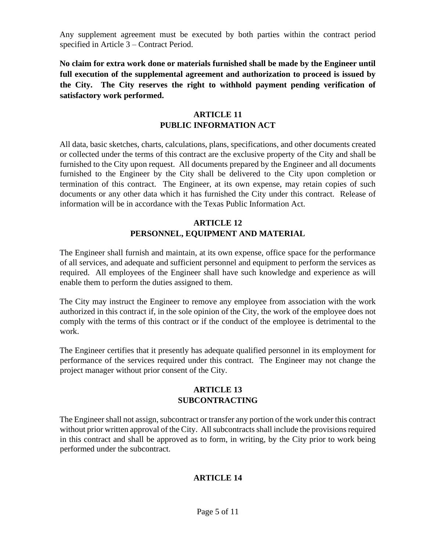Any supplement agreement must be executed by both parties within the contract period specified in Article 3 – Contract Period.

**No claim for extra work done or materials furnished shall be made by the Engineer until full execution of the supplemental agreement and authorization to proceed is issued by the City. The City reserves the right to withhold payment pending verification of satisfactory work performed.** 

## **ARTICLE 11 PUBLIC INFORMATION ACT**

All data, basic sketches, charts, calculations, plans, specifications, and other documents created or collected under the terms of this contract are the exclusive property of the City and shall be furnished to the City upon request. All documents prepared by the Engineer and all documents furnished to the Engineer by the City shall be delivered to the City upon completion or termination of this contract. The Engineer, at its own expense, may retain copies of such documents or any other data which it has furnished the City under this contract. Release of information will be in accordance with the Texas Public Information Act.

## **ARTICLE 12 PERSONNEL, EQUIPMENT AND MATERIAL**

The Engineer shall furnish and maintain, at its own expense, office space for the performance of all services, and adequate and sufficient personnel and equipment to perform the services as required. All employees of the Engineer shall have such knowledge and experience as will enable them to perform the duties assigned to them.

The City may instruct the Engineer to remove any employee from association with the work authorized in this contract if, in the sole opinion of the City, the work of the employee does not comply with the terms of this contract or if the conduct of the employee is detrimental to the work.

The Engineer certifies that it presently has adequate qualified personnel in its employment for performance of the services required under this contract. The Engineer may not change the project manager without prior consent of the City.

## **ARTICLE 13 SUBCONTRACTING**

The Engineer shall not assign, subcontract or transfer any portion of the work under this contract without prior written approval of the City. All subcontracts shall include the provisions required in this contract and shall be approved as to form, in writing, by the City prior to work being performed under the subcontract.

## **ARTICLE 14**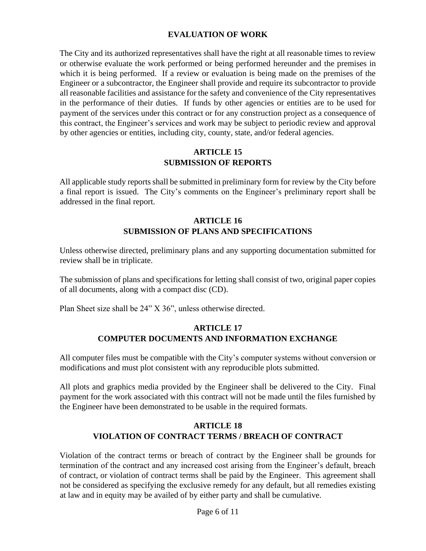## **EVALUATION OF WORK**

The City and its authorized representatives shall have the right at all reasonable times to review or otherwise evaluate the work performed or being performed hereunder and the premises in which it is being performed. If a review or evaluation is being made on the premises of the Engineer or a subcontractor, the Engineer shall provide and require its subcontractor to provide all reasonable facilities and assistance for the safety and convenience of the City representatives in the performance of their duties. If funds by other agencies or entities are to be used for payment of the services under this contract or for any construction project as a consequence of this contract, the Engineer's services and work may be subject to periodic review and approval by other agencies or entities, including city, county, state, and/or federal agencies.

#### **ARTICLE 15 SUBMISSION OF REPORTS**

All applicable study reports shall be submitted in preliminary form for review by the City before a final report is issued. The City's comments on the Engineer's preliminary report shall be addressed in the final report.

## **ARTICLE 16 SUBMISSION OF PLANS AND SPECIFICATIONS**

Unless otherwise directed, preliminary plans and any supporting documentation submitted for review shall be in triplicate.

The submission of plans and specifications for letting shall consist of two, original paper copies of all documents, along with a compact disc (CD).

Plan Sheet size shall be 24" X 36", unless otherwise directed.

## **ARTICLE 17 COMPUTER DOCUMENTS AND INFORMATION EXCHANGE**

All computer files must be compatible with the City's computer systems without conversion or modifications and must plot consistent with any reproducible plots submitted.

All plots and graphics media provided by the Engineer shall be delivered to the City. Final payment for the work associated with this contract will not be made until the files furnished by the Engineer have been demonstrated to be usable in the required formats.

## **ARTICLE 18 VIOLATION OF CONTRACT TERMS / BREACH OF CONTRACT**

Violation of the contract terms or breach of contract by the Engineer shall be grounds for termination of the contract and any increased cost arising from the Engineer's default, breach of contract, or violation of contract terms shall be paid by the Engineer. This agreement shall not be considered as specifying the exclusive remedy for any default, but all remedies existing at law and in equity may be availed of by either party and shall be cumulative.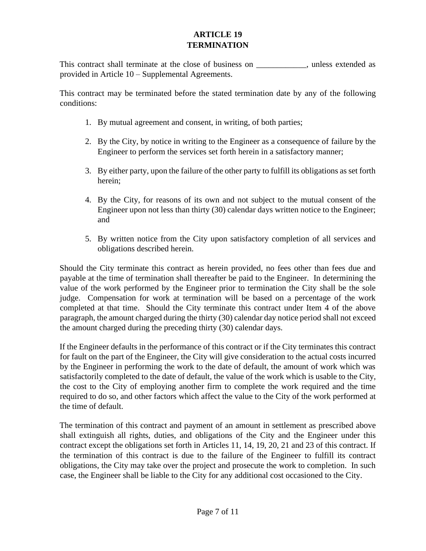## **ARTICLE 19 TERMINATION**

This contract shall terminate at the close of business on \_\_\_\_\_\_\_\_\_\_\_\_, unless extended as provided in Article 10 – Supplemental Agreements.

This contract may be terminated before the stated termination date by any of the following conditions:

- 1. By mutual agreement and consent, in writing, of both parties;
- 2. By the City, by notice in writing to the Engineer as a consequence of failure by the Engineer to perform the services set forth herein in a satisfactory manner;
- 3. By either party, upon the failure of the other party to fulfill its obligations as set forth herein;
- 4. By the City, for reasons of its own and not subject to the mutual consent of the Engineer upon not less than thirty (30) calendar days written notice to the Engineer; and
- 5. By written notice from the City upon satisfactory completion of all services and obligations described herein.

Should the City terminate this contract as herein provided, no fees other than fees due and payable at the time of termination shall thereafter be paid to the Engineer. In determining the value of the work performed by the Engineer prior to termination the City shall be the sole judge. Compensation for work at termination will be based on a percentage of the work completed at that time. Should the City terminate this contract under Item 4 of the above paragraph, the amount charged during the thirty (30) calendar day notice period shall not exceed the amount charged during the preceding thirty (30) calendar days.

If the Engineer defaults in the performance of this contract or if the City terminates this contract for fault on the part of the Engineer, the City will give consideration to the actual costs incurred by the Engineer in performing the work to the date of default, the amount of work which was satisfactorily completed to the date of default, the value of the work which is usable to the City, the cost to the City of employing another firm to complete the work required and the time required to do so, and other factors which affect the value to the City of the work performed at the time of default.

The termination of this contract and payment of an amount in settlement as prescribed above shall extinguish all rights, duties, and obligations of the City and the Engineer under this contract except the obligations set forth in Articles 11, 14, 19, 20, 21 and 23 of this contract. If the termination of this contract is due to the failure of the Engineer to fulfill its contract obligations, the City may take over the project and prosecute the work to completion. In such case, the Engineer shall be liable to the City for any additional cost occasioned to the City.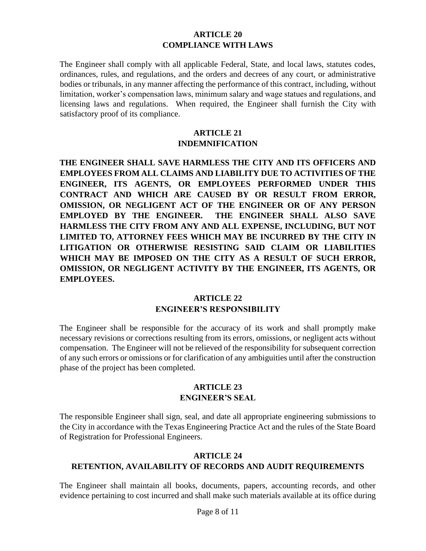#### **ARTICLE 20 COMPLIANCE WITH LAWS**

The Engineer shall comply with all applicable Federal, State, and local laws, statutes codes, ordinances, rules, and regulations, and the orders and decrees of any court, or administrative bodies or tribunals, in any manner affecting the performance of this contract, including, without limitation, worker's compensation laws, minimum salary and wage statues and regulations, and licensing laws and regulations. When required, the Engineer shall furnish the City with satisfactory proof of its compliance.

#### **ARTICLE 21 INDEMNIFICATION**

**THE ENGINEER SHALL SAVE HARMLESS THE CITY AND ITS OFFICERS AND EMPLOYEES FROM ALL CLAIMS AND LIABILITY DUE TO ACTIVITIES OF THE ENGINEER, ITS AGENTS, OR EMPLOYEES PERFORMED UNDER THIS CONTRACT AND WHICH ARE CAUSED BY OR RESULT FROM ERROR, OMISSION, OR NEGLIGENT ACT OF THE ENGINEER OR OF ANY PERSON EMPLOYED BY THE ENGINEER. THE ENGINEER SHALL ALSO SAVE HARMLESS THE CITY FROM ANY AND ALL EXPENSE, INCLUDING, BUT NOT LIMITED TO, ATTORNEY FEES WHICH MAY BE INCURRED BY THE CITY IN LITIGATION OR OTHERWISE RESISTING SAID CLAIM OR LIABILITIES WHICH MAY BE IMPOSED ON THE CITY AS A RESULT OF SUCH ERROR, OMISSION, OR NEGLIGENT ACTIVITY BY THE ENGINEER, ITS AGENTS, OR EMPLOYEES.** 

## **ARTICLE 22 ENGINEER'S RESPONSIBILITY**

The Engineer shall be responsible for the accuracy of its work and shall promptly make necessary revisions or corrections resulting from its errors, omissions, or negligent acts without compensation. The Engineer will not be relieved of the responsibility for subsequent correction of any such errors or omissions or for clarification of any ambiguities until after the construction phase of the project has been completed.

### **ARTICLE 23 ENGINEER'S SEAL**

The responsible Engineer shall sign, seal, and date all appropriate engineering submissions to the City in accordance with the Texas Engineering Practice Act and the rules of the State Board of Registration for Professional Engineers.

### **ARTICLE 24 RETENTION, AVAILABILITY OF RECORDS AND AUDIT REQUIREMENTS**

The Engineer shall maintain all books, documents, papers, accounting records, and other evidence pertaining to cost incurred and shall make such materials available at its office during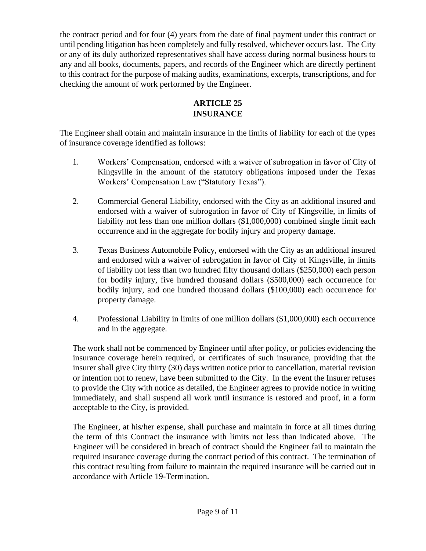the contract period and for four (4) years from the date of final payment under this contract or until pending litigation has been completely and fully resolved, whichever occurs last. The City or any of its duly authorized representatives shall have access during normal business hours to any and all books, documents, papers, and records of the Engineer which are directly pertinent to this contract for the purpose of making audits, examinations, excerpts, transcriptions, and for checking the amount of work performed by the Engineer.

## **ARTICLE 25 INSURANCE**

The Engineer shall obtain and maintain insurance in the limits of liability for each of the types of insurance coverage identified as follows:

- 1. Workers' Compensation, endorsed with a waiver of subrogation in favor of City of Kingsville in the amount of the statutory obligations imposed under the Texas Workers' Compensation Law ("Statutory Texas").
- 2. Commercial General Liability, endorsed with the City as an additional insured and endorsed with a waiver of subrogation in favor of City of Kingsville, in limits of liability not less than one million dollars (\$1,000,000) combined single limit each occurrence and in the aggregate for bodily injury and property damage.
- 3. Texas Business Automobile Policy, endorsed with the City as an additional insured and endorsed with a waiver of subrogation in favor of City of Kingsville, in limits of liability not less than two hundred fifty thousand dollars (\$250,000) each person for bodily injury, five hundred thousand dollars (\$500,000) each occurrence for bodily injury, and one hundred thousand dollars (\$100,000) each occurrence for property damage.
- 4. Professional Liability in limits of one million dollars (\$1,000,000) each occurrence and in the aggregate.

The work shall not be commenced by Engineer until after policy, or policies evidencing the insurance coverage herein required, or certificates of such insurance, providing that the insurer shall give City thirty (30) days written notice prior to cancellation, material revision or intention not to renew, have been submitted to the City. In the event the Insurer refuses to provide the City with notice as detailed, the Engineer agrees to provide notice in writing immediately, and shall suspend all work until insurance is restored and proof, in a form acceptable to the City, is provided.

The Engineer, at his/her expense, shall purchase and maintain in force at all times during the term of this Contract the insurance with limits not less than indicated above. The Engineer will be considered in breach of contract should the Engineer fail to maintain the required insurance coverage during the contract period of this contract. The termination of this contract resulting from failure to maintain the required insurance will be carried out in accordance with Article 19-Termination.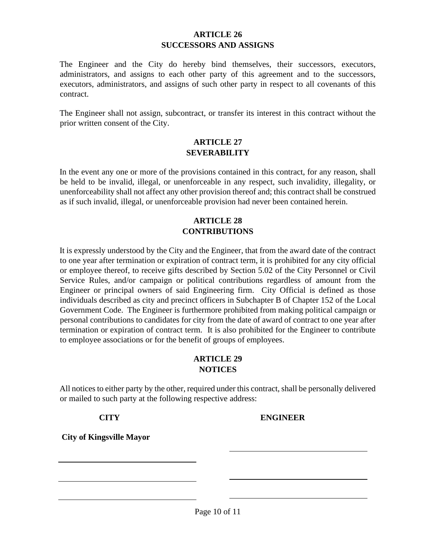## **ARTICLE 26 SUCCESSORS AND ASSIGNS**

The Engineer and the City do hereby bind themselves, their successors, executors, administrators, and assigns to each other party of this agreement and to the successors, executors, administrators, and assigns of such other party in respect to all covenants of this contract.

The Engineer shall not assign, subcontract, or transfer its interest in this contract without the prior written consent of the City.

### **ARTICLE 27 SEVERABILITY**

In the event any one or more of the provisions contained in this contract, for any reason, shall be held to be invalid, illegal, or unenforceable in any respect, such invalidity, illegality, or unenforceability shall not affect any other provision thereof and; this contract shall be construed as if such invalid, illegal, or unenforceable provision had never been contained herein.

## **ARTICLE 28 CONTRIBUTIONS**

It is expressly understood by the City and the Engineer, that from the award date of the contract to one year after termination or expiration of contract term, it is prohibited for any city official or employee thereof, to receive gifts described by Section 5.02 of the City Personnel or Civil Service Rules, and/or campaign or political contributions regardless of amount from the Engineer or principal owners of said Engineering firm. City Official is defined as those individuals described as city and precinct officers in Subchapter B of Chapter 152 of the Local Government Code. The Engineer is furthermore prohibited from making political campaign or personal contributions to candidates for city from the date of award of contract to one year after termination or expiration of contract term. It is also prohibited for the Engineer to contribute to employee associations or for the benefit of groups of employees.

## **ARTICLE 29 NOTICES**

All notices to either party by the other, required under this contract, shall be personally delivered or mailed to such party at the following respective address:

#### **CITY ENGINEER**

**City of Kingsville Mayor**

Page 10 of 11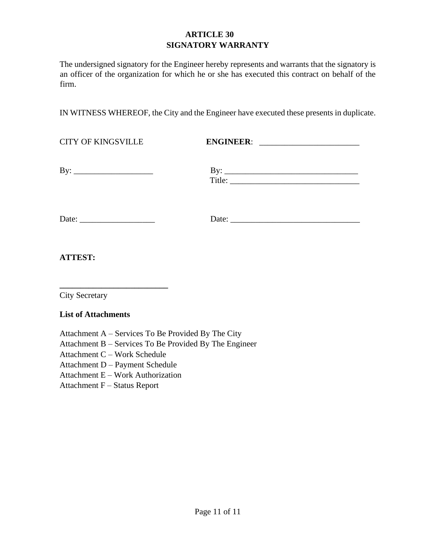## **ARTICLE 30 SIGNATORY WARRANTY**

The undersigned signatory for the Engineer hereby represents and warrants that the signatory is an officer of the organization for which he or she has executed this contract on behalf of the firm.

IN WITNESS WHEREOF, the City and the Engineer have executed these presents in duplicate.

CITY OF KINGSVILLE **ENGINEER**:

By: \_\_\_\_\_\_\_\_\_\_\_\_\_\_\_\_\_\_\_ By: \_\_\_\_\_\_\_\_\_\_\_\_\_\_\_\_\_\_\_\_\_\_\_\_\_\_\_\_\_\_\_\_

| ּ ש                      |  |  |
|--------------------------|--|--|
| $T_{\rm 1}$ itle $\cdot$ |  |  |

Date: \_\_\_\_\_\_\_\_\_\_\_\_\_\_\_\_\_\_ Date: \_\_\_\_\_\_\_\_\_\_\_\_\_\_\_\_\_\_\_\_\_\_\_\_\_\_\_\_\_\_\_

**ATTEST:** 

City Secretary

### **List of Attachments**

Attachment A – Services To Be Provided By The City

**\_\_\_\_\_\_\_\_\_\_\_\_\_\_\_\_\_\_\_\_\_\_\_\_\_\_** 

Attachment B – Services To Be Provided By The Engineer

Attachment C – Work Schedule

Attachment D – Payment Schedule

Attachment E – Work Authorization

Attachment F – Status Report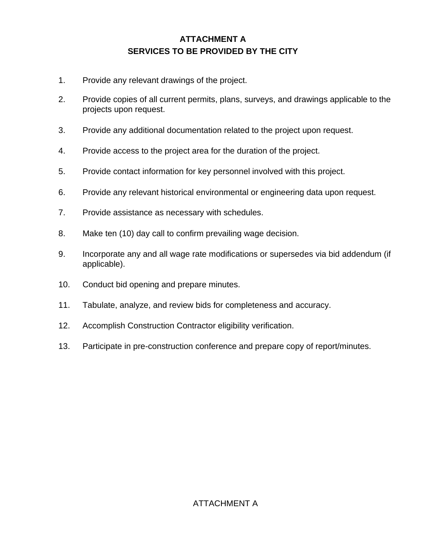# **ATTACHMENT A SERVICES TO BE PROVIDED BY THE CITY**

- 1. Provide any relevant drawings of the project.
- 2. Provide copies of all current permits, plans, surveys, and drawings applicable to the projects upon request.
- 3. Provide any additional documentation related to the project upon request.
- 4. Provide access to the project area for the duration of the project.
- 5. Provide contact information for key personnel involved with this project.
- 6. Provide any relevant historical environmental or engineering data upon request.
- 7. Provide assistance as necessary with schedules.
- 8. Make ten (10) day call to confirm prevailing wage decision.
- 9. Incorporate any and all wage rate modifications or supersedes via bid addendum (if applicable).
- 10. Conduct bid opening and prepare minutes.
- 11. Tabulate, analyze, and review bids for completeness and accuracy.
- 12. Accomplish Construction Contractor eligibility verification.
- 13. Participate in pre-construction conference and prepare copy of report/minutes.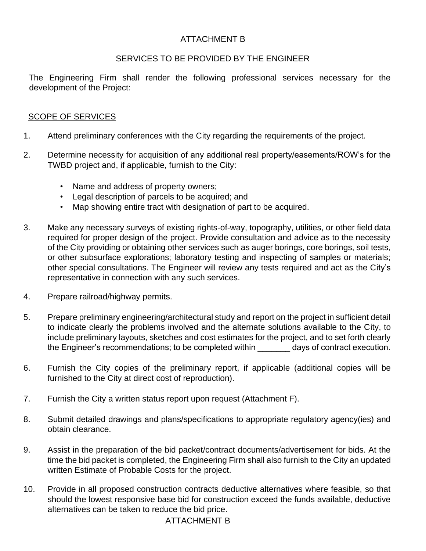## ATTACHMENT B

## SERVICES TO BE PROVIDED BY THE ENGINEER

The Engineering Firm shall render the following professional services necessary for the development of the Project:

## **SCOPE OF SERVICES**

- 1. Attend preliminary conferences with the City regarding the requirements of the project.
- 2. Determine necessity for acquisition of any additional real property/easements/ROW's for the TWBD project and, if applicable, furnish to the City:
	- Name and address of property owners;
	- Legal description of parcels to be acquired; and
	- Map showing entire tract with designation of part to be acquired.
- 3. Make any necessary surveys of existing rights-of-way, topography, utilities, or other field data required for proper design of the project. Provide consultation and advice as to the necessity of the City providing or obtaining other services such as auger borings, core borings, soil tests, or other subsurface explorations; laboratory testing and inspecting of samples or materials; other special consultations. The Engineer will review any tests required and act as the City's representative in connection with any such services.
- 4. Prepare railroad/highway permits.
- 5. Prepare preliminary engineering/architectural study and report on the project in sufficient detail to indicate clearly the problems involved and the alternate solutions available to the City, to include preliminary layouts, sketches and cost estimates for the project, and to set forth clearly the Engineer's recommendations; to be completed within days of contract execution.
- 6. Furnish the City copies of the preliminary report, if applicable (additional copies will be furnished to the City at direct cost of reproduction).
- 7. Furnish the City a written status report upon request (Attachment F).
- 8. Submit detailed drawings and plans/specifications to appropriate regulatory agency(ies) and obtain clearance.
- 9. Assist in the preparation of the bid packet/contract documents/advertisement for bids. At the time the bid packet is completed, the Engineering Firm shall also furnish to the City an updated written Estimate of Probable Costs for the project.
- 10. Provide in all proposed construction contracts deductive alternatives where feasible, so that should the lowest responsive base bid for construction exceed the funds available, deductive alternatives can be taken to reduce the bid price.

## ATTACHMENT B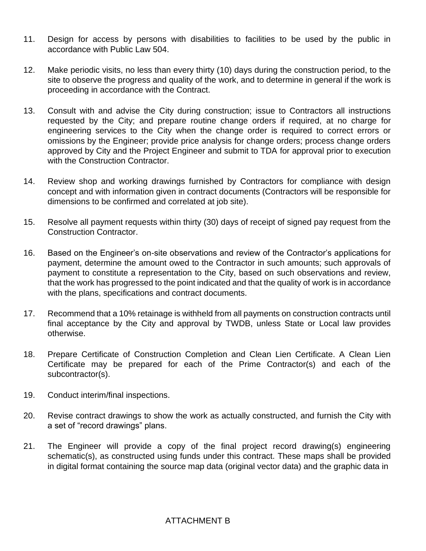- 11. Design for access by persons with disabilities to facilities to be used by the public in accordance with Public Law 504.
- 12. Make periodic visits, no less than every thirty (10) days during the construction period, to the site to observe the progress and quality of the work, and to determine in general if the work is proceeding in accordance with the Contract.
- 13. Consult with and advise the City during construction; issue to Contractors all instructions requested by the City; and prepare routine change orders if required, at no charge for engineering services to the City when the change order is required to correct errors or omissions by the Engineer; provide price analysis for change orders; process change orders approved by City and the Project Engineer and submit to TDA for approval prior to execution with the Construction Contractor.
- 14. Review shop and working drawings furnished by Contractors for compliance with design concept and with information given in contract documents (Contractors will be responsible for dimensions to be confirmed and correlated at job site).
- 15. Resolve all payment requests within thirty (30) days of receipt of signed pay request from the Construction Contractor.
- 16. Based on the Engineer's on-site observations and review of the Contractor's applications for payment, determine the amount owed to the Contractor in such amounts; such approvals of payment to constitute a representation to the City, based on such observations and review, that the work has progressed to the point indicated and that the quality of work is in accordance with the plans, specifications and contract documents.
- 17. Recommend that a 10% retainage is withheld from all payments on construction contracts until final acceptance by the City and approval by TWDB, unless State or Local law provides otherwise.
- 18. Prepare Certificate of Construction Completion and Clean Lien Certificate. A Clean Lien Certificate may be prepared for each of the Prime Contractor(s) and each of the subcontractor(s).
- 19. Conduct interim/final inspections.
- 20. Revise contract drawings to show the work as actually constructed, and furnish the City with a set of "record drawings" plans.
- 21. The Engineer will provide a copy of the final project record drawing(s) engineering schematic(s), as constructed using funds under this contract. These maps shall be provided in digital format containing the source map data (original vector data) and the graphic data in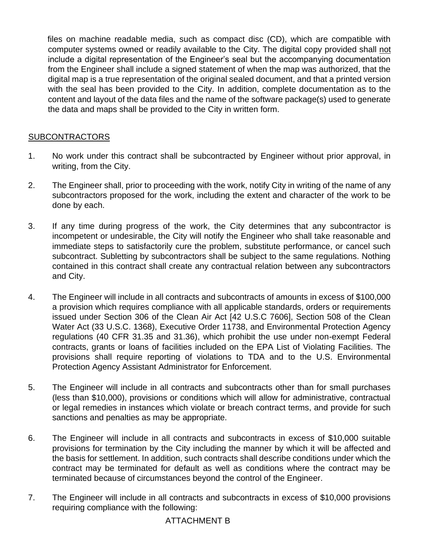files on machine readable media, such as compact disc (CD), which are compatible with computer systems owned or readily available to the City. The digital copy provided shall not include a digital representation of the Engineer's seal but the accompanying documentation from the Engineer shall include a signed statement of when the map was authorized, that the digital map is a true representation of the original sealed document, and that a printed version with the seal has been provided to the City. In addition, complete documentation as to the content and layout of the data files and the name of the software package(s) used to generate the data and maps shall be provided to the City in written form.

## SUBCONTRACTORS

- 1. No work under this contract shall be subcontracted by Engineer without prior approval, in writing, from the City.
- 2. The Engineer shall, prior to proceeding with the work, notify City in writing of the name of any subcontractors proposed for the work, including the extent and character of the work to be done by each.
- 3. If any time during progress of the work, the City determines that any subcontractor is incompetent or undesirable, the City will notify the Engineer who shall take reasonable and immediate steps to satisfactorily cure the problem, substitute performance, or cancel such subcontract. Subletting by subcontractors shall be subject to the same regulations. Nothing contained in this contract shall create any contractual relation between any subcontractors and City.
- 4. The Engineer will include in all contracts and subcontracts of amounts in excess of \$100,000 a provision which requires compliance with all applicable standards, orders or requirements issued under Section 306 of the Clean Air Act [42 U.S.C 7606], Section 508 of the Clean Water Act (33 U.S.C. 1368), Executive Order 11738, and Environmental Protection Agency regulations (40 CFR 31.35 and 31.36), which prohibit the use under non-exempt Federal contracts, grants or loans of facilities included on the EPA List of Violating Facilities. The provisions shall require reporting of violations to TDA and to the U.S. Environmental Protection Agency Assistant Administrator for Enforcement.
- 5. The Engineer will include in all contracts and subcontracts other than for small purchases (less than \$10,000), provisions or conditions which will allow for administrative, contractual or legal remedies in instances which violate or breach contract terms, and provide for such sanctions and penalties as may be appropriate.
- 6. The Engineer will include in all contracts and subcontracts in excess of \$10,000 suitable provisions for termination by the City including the manner by which it will be affected and the basis for settlement. In addition, such contracts shall describe conditions under which the contract may be terminated for default as well as conditions where the contract may be terminated because of circumstances beyond the control of the Engineer.
- 7. The Engineer will include in all contracts and subcontracts in excess of \$10,000 provisions requiring compliance with the following:

## ATTACHMENT B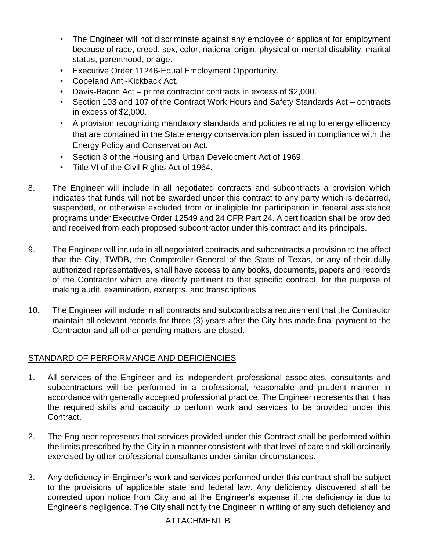- The Engineer will not discriminate against any employee or applicant for employment because of race, creed, sex, color, national origin, physical or mental disability, marital status, parenthood, or age.
- Executive Order 11246-Equal Employment Opportunity.
- Copeland Anti-Kickback Act.
- Davis-Bacon Act prime contractor contracts in excess of \$2,000.
- Section 103 and 107 of the Contract Work Hours and Safety Standards Act contracts in excess of \$2,000.
- A provision recognizing mandatory standards and policies relating to energy efficiency that are contained in the State energy conservation plan issued in compliance with the Energy Policy and Conservation Act.
- Section 3 of the Housing and Urban Development Act of 1969.
- Title VI of the Civil Rights Act of 1964.
- 8. The Engineer will include in all negotiated contracts and subcontracts a provision which indicates that funds will not be awarded under this contract to any party which is debarred, suspended, or otherwise excluded from or ineligible for participation in federal assistance programs under Executive Order 12549 and 24 CFR Part 24. A certification shall be provided and received from each proposed subcontractor under this contract and its principals.
- 9. The Engineer will include in all negotiated contracts and subcontracts a provision to the effect that the City, TWDB, the Comptroller General of the State of Texas, or any of their dully authorized representatives, shall have access to any books, documents, papers and records of the Contractor which are directly pertinent to that specific contract, for the purpose of making audit, examination, excerpts, and transcriptions.
- 10. The Engineer will include in all contracts and subcontracts a requirement that the Contractor maintain all relevant records for three (3) years after the City has made final payment to the Contractor and all other pending matters are closed.

## STANDARD OF PERFORMANCE AND DEFICIENCIES

- 1. All services of the Engineer and its independent professional associates, consultants and subcontractors will be performed in a professional, reasonable and prudent manner in accordance with generally accepted professional practice. The Engineer represents that it has the required skills and capacity to perform work and services to be provided under this Contract.
- 2. The Engineer represents that services provided under this Contract shall be performed within the limits prescribed by the City in a manner consistent with that level of care and skill ordinarily exercised by other professional consultants under similar circumstances.
- 3. Any deficiency in Engineer's work and services performed under this contract shall be subject to the provisions of applicable state and federal law. Any deficiency discovered shall be corrected upon notice from City and at the Engineer's expense if the deficiency is due to Engineer's negligence. The City shall notify the Engineer in writing of any such deficiency and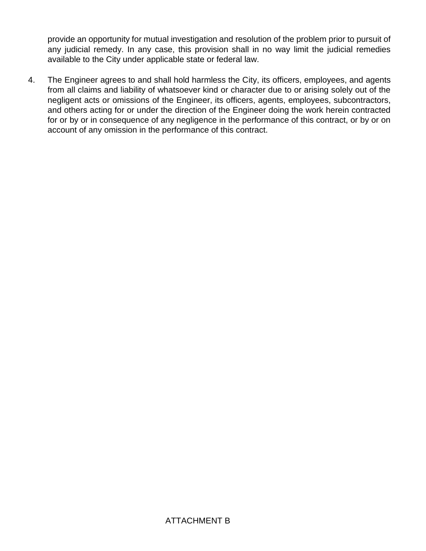provide an opportunity for mutual investigation and resolution of the problem prior to pursuit of any judicial remedy. In any case, this provision shall in no way limit the judicial remedies available to the City under applicable state or federal law.

4. The Engineer agrees to and shall hold harmless the City, its officers, employees, and agents from all claims and liability of whatsoever kind or character due to or arising solely out of the negligent acts or omissions of the Engineer, its officers, agents, employees, subcontractors, and others acting for or under the direction of the Engineer doing the work herein contracted for or by or in consequence of any negligence in the performance of this contract, or by or on account of any omission in the performance of this contract.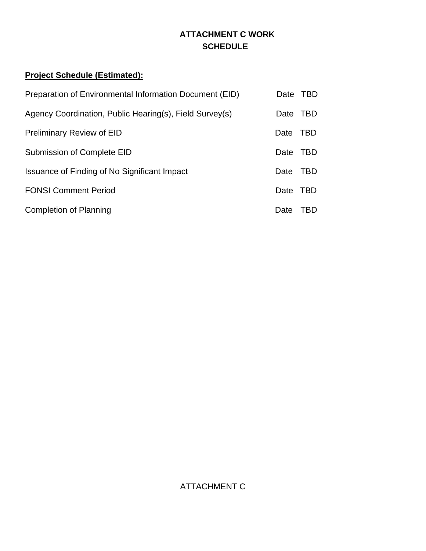# **ATTACHMENT C WORK SCHEDULE**

# **Project Schedule (Estimated):**

| Preparation of Environmental Information Document (EID) | Date TBD |            |
|---------------------------------------------------------|----------|------------|
| Agency Coordination, Public Hearing(s), Field Survey(s) | Date     | <b>TBD</b> |
| <b>Preliminary Review of EID</b>                        | Date     | TBD        |
| Submission of Complete EID                              | Date     | <b>TBD</b> |
| Issuance of Finding of No Significant Impact            | Date     | <b>TBD</b> |
| <b>FONSI Comment Period</b>                             | Date     | TBD        |
| <b>Completion of Planning</b>                           | Date     | TBD        |

ATTACHMENT C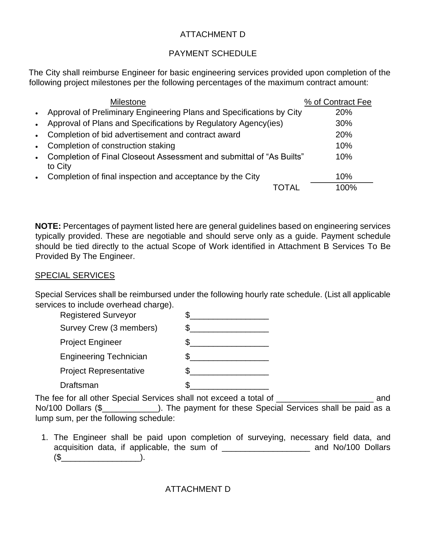## ATTACHMENT D

## PAYMENT SCHEDULE

The City shall reimburse Engineer for basic engineering services provided upon completion of the following project milestones per the following percentages of the maximum contract amount:

|           | <b>Milestone</b>                                                                | % of Contract Fee |
|-----------|---------------------------------------------------------------------------------|-------------------|
| $\bullet$ | Approval of Preliminary Engineering Plans and Specifications by City            | <b>20%</b>        |
| $\bullet$ | Approval of Plans and Specifications by Regulatory Agency(ies)                  | 30%               |
| $\bullet$ | Completion of bid advertisement and contract award                              | 20%               |
| $\bullet$ | Completion of construction staking                                              | 10%               |
| $\bullet$ | Completion of Final Closeout Assessment and submittal of "As Builts"<br>to City | 10%               |
| $\bullet$ | Completion of final inspection and acceptance by the City                       | 10%               |
|           |                                                                                 | 100%              |

**NOTE:** Percentages of payment listed here are general guidelines based on engineering services typically provided. These are negotiable and should serve only as a guide. Payment schedule should be tied directly to the actual Scope of Work identified in Attachment B Services To Be Provided By The Engineer.

## SPECIAL SERVICES

Special Services shall be reimbursed under the following hourly rate schedule. (List all applicable services to include overhead charge).

| <b>Registered Surveyor</b>    |  |
|-------------------------------|--|
| Survey Crew (3 members)       |  |
| <b>Project Engineer</b>       |  |
| <b>Engineering Technician</b> |  |
| <b>Project Representative</b> |  |
| Draftsman                     |  |

The fee for all other Special Services shall not exceed a total of \_\_\_\_\_\_\_\_\_\_\_\_\_\_\_\_\_\_\_\_\_ and No/100 Dollars (\$\_\_\_\_\_\_\_\_\_\_\_\_). The payment for these Special Services shall be paid as a lump sum, per the following schedule:

1. The Engineer shall be paid upon completion of surveying, necessary field data, and acquisition data, if applicable, the sum of \_\_\_\_\_\_\_\_\_\_\_\_\_\_\_\_\_\_\_ and No/100 Dollars (\$\_\_\_\_\_\_\_\_\_\_\_\_\_\_\_\_\_).

ATTACHMENT D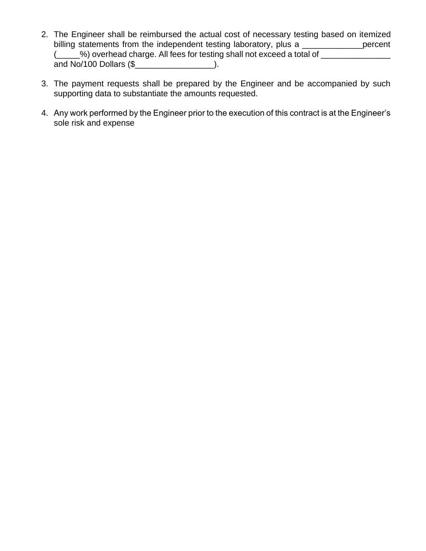- 2. The Engineer shall be reimbursed the actual cost of necessary testing based on itemized billing statements from the independent testing laboratory, plus a \_\_\_\_\_\_\_\_\_\_\_\_\_\_percent (\_\_\_\_\_%) overhead charge. All fees for testing shall not exceed a total of \_\_\_\_\_\_\_\_\_\_\_\_ and No/100 Dollars (\$\_\_\_\_\_\_\_\_\_\_\_\_\_\_\_\_\_\_\_\_\_\_).
- 3. The payment requests shall be prepared by the Engineer and be accompanied by such supporting data to substantiate the amounts requested.
- 4. Any work performed by the Engineer prior to the execution of this contract is at the Engineer's sole risk and expense